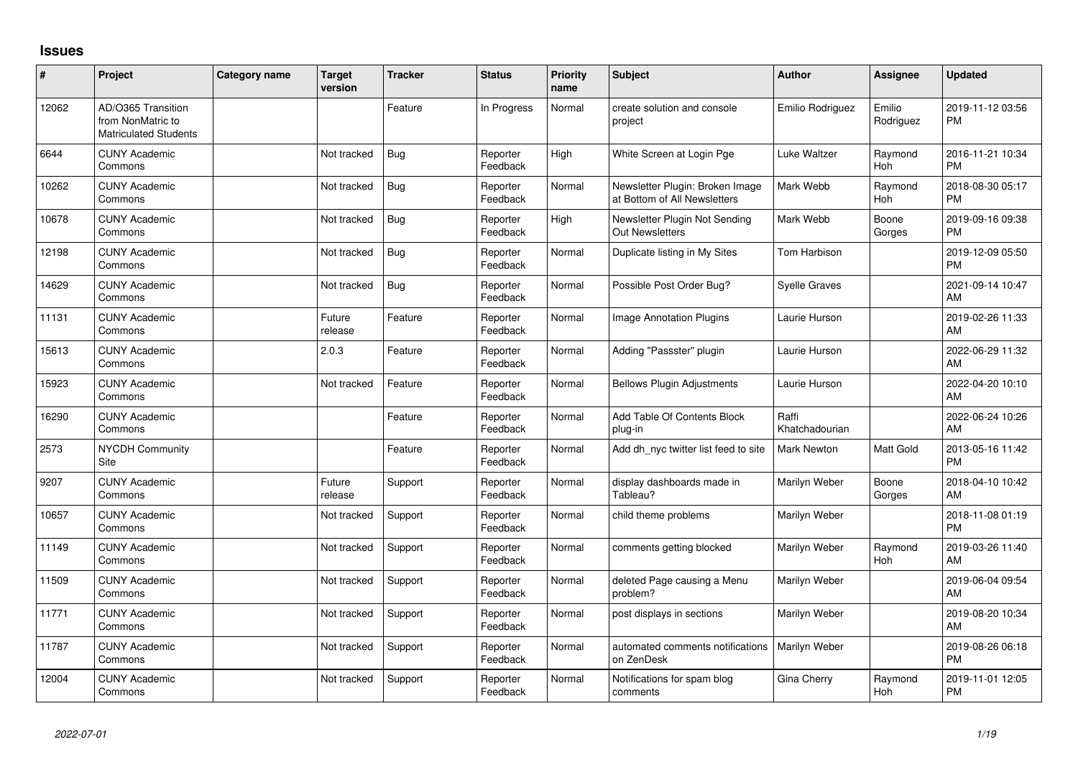## **Issues**

| ∦     | Project                                                                 | Category name | Target<br>version | <b>Tracker</b> | <b>Status</b>        | <b>Priority</b><br>name | <b>Subject</b>                                                  | <b>Author</b>           | <b>Assignee</b>       | <b>Updated</b>                |
|-------|-------------------------------------------------------------------------|---------------|-------------------|----------------|----------------------|-------------------------|-----------------------------------------------------------------|-------------------------|-----------------------|-------------------------------|
| 12062 | AD/O365 Transition<br>from NonMatric to<br><b>Matriculated Students</b> |               |                   | Feature        | In Progress          | Normal                  | create solution and console<br>project                          | Emilio Rodriguez        | Emilio<br>Rodriguez   | 2019-11-12 03:56<br><b>PM</b> |
| 6644  | <b>CUNY Academic</b><br>Commons                                         |               | Not tracked       | Bug            | Reporter<br>Feedback | High                    | White Screen at Login Pge                                       | Luke Waltzer            | Raymond<br><b>Hoh</b> | 2016-11-21 10:34<br><b>PM</b> |
| 10262 | <b>CUNY Academic</b><br>Commons                                         |               | Not tracked       | <b>Bug</b>     | Reporter<br>Feedback | Normal                  | Newsletter Plugin: Broken Image<br>at Bottom of All Newsletters | Mark Webb               | Raymond<br>Hoh        | 2018-08-30 05:17<br><b>PM</b> |
| 10678 | <b>CUNY Academic</b><br>Commons                                         |               | Not tracked       | <b>Bug</b>     | Reporter<br>Feedback | High                    | Newsletter Plugin Not Sending<br>Out Newsletters                | Mark Webb               | Boone<br>Gorges       | 2019-09-16 09:38<br><b>PM</b> |
| 12198 | <b>CUNY Academic</b><br>Commons                                         |               | Not tracked       | <b>Bug</b>     | Reporter<br>Feedback | Normal                  | Duplicate listing in My Sites                                   | Tom Harbison            |                       | 2019-12-09 05:50<br><b>PM</b> |
| 14629 | <b>CUNY Academic</b><br>Commons                                         |               | Not tracked       | <b>Bug</b>     | Reporter<br>Feedback | Normal                  | Possible Post Order Bug?                                        | <b>Syelle Graves</b>    |                       | 2021-09-14 10:47<br>AM        |
| 11131 | <b>CUNY Academic</b><br>Commons                                         |               | Future<br>release | Feature        | Reporter<br>Feedback | Normal                  | <b>Image Annotation Plugins</b>                                 | Laurie Hurson           |                       | 2019-02-26 11:33<br>AM        |
| 15613 | <b>CUNY Academic</b><br>Commons                                         |               | 2.0.3             | Feature        | Reporter<br>Feedback | Normal                  | Adding "Passster" plugin                                        | Laurie Hurson           |                       | 2022-06-29 11:32<br>AM        |
| 15923 | <b>CUNY Academic</b><br>Commons                                         |               | Not tracked       | Feature        | Reporter<br>Feedback | Normal                  | <b>Bellows Plugin Adjustments</b>                               | Laurie Hurson           |                       | 2022-04-20 10:10<br>AM        |
| 16290 | <b>CUNY Academic</b><br>Commons                                         |               |                   | Feature        | Reporter<br>Feedback | Normal                  | Add Table Of Contents Block<br>plug-in                          | Raffi<br>Khatchadourian |                       | 2022-06-24 10:26<br>AM        |
| 2573  | <b>NYCDH Community</b><br>Site                                          |               |                   | Feature        | Reporter<br>Feedback | Normal                  | Add dh nyc twitter list feed to site                            | <b>Mark Newton</b>      | Matt Gold             | 2013-05-16 11:42<br><b>PM</b> |
| 9207  | <b>CUNY Academic</b><br>Commons                                         |               | Future<br>release | Support        | Reporter<br>Feedback | Normal                  | display dashboards made in<br>Tableau?                          | Marilyn Weber           | Boone<br>Gorges       | 2018-04-10 10:42<br>AM        |
| 10657 | <b>CUNY Academic</b><br>Commons                                         |               | Not tracked       | Support        | Reporter<br>Feedback | Normal                  | child theme problems                                            | Marilyn Weber           |                       | 2018-11-08 01:19<br><b>PM</b> |
| 11149 | <b>CUNY Academic</b><br>Commons                                         |               | Not tracked       | Support        | Reporter<br>Feedback | Normal                  | comments getting blocked                                        | Marilyn Weber           | Raymond<br>Hoh        | 2019-03-26 11:40<br>AM        |
| 11509 | <b>CUNY Academic</b><br>Commons                                         |               | Not tracked       | Support        | Reporter<br>Feedback | Normal                  | deleted Page causing a Menu<br>problem?                         | Marilyn Weber           |                       | 2019-06-04 09:54<br>AM        |
| 11771 | <b>CUNY Academic</b><br>Commons                                         |               | Not tracked       | Support        | Reporter<br>Feedback | Normal                  | post displays in sections                                       | Marilyn Weber           |                       | 2019-08-20 10:34<br>AM        |
| 11787 | <b>CUNY Academic</b><br>Commons                                         |               | Not tracked       | Support        | Reporter<br>Feedback | Normal                  | automated comments notifications<br>on ZenDesk                  | Marilyn Weber           |                       | 2019-08-26 06:18<br><b>PM</b> |
| 12004 | <b>CUNY Academic</b><br>Commons                                         |               | Not tracked       | Support        | Reporter<br>Feedback | Normal                  | Notifications for spam blog<br>comments                         | Gina Cherry             | Raymond<br><b>Hoh</b> | 2019-11-01 12:05<br><b>PM</b> |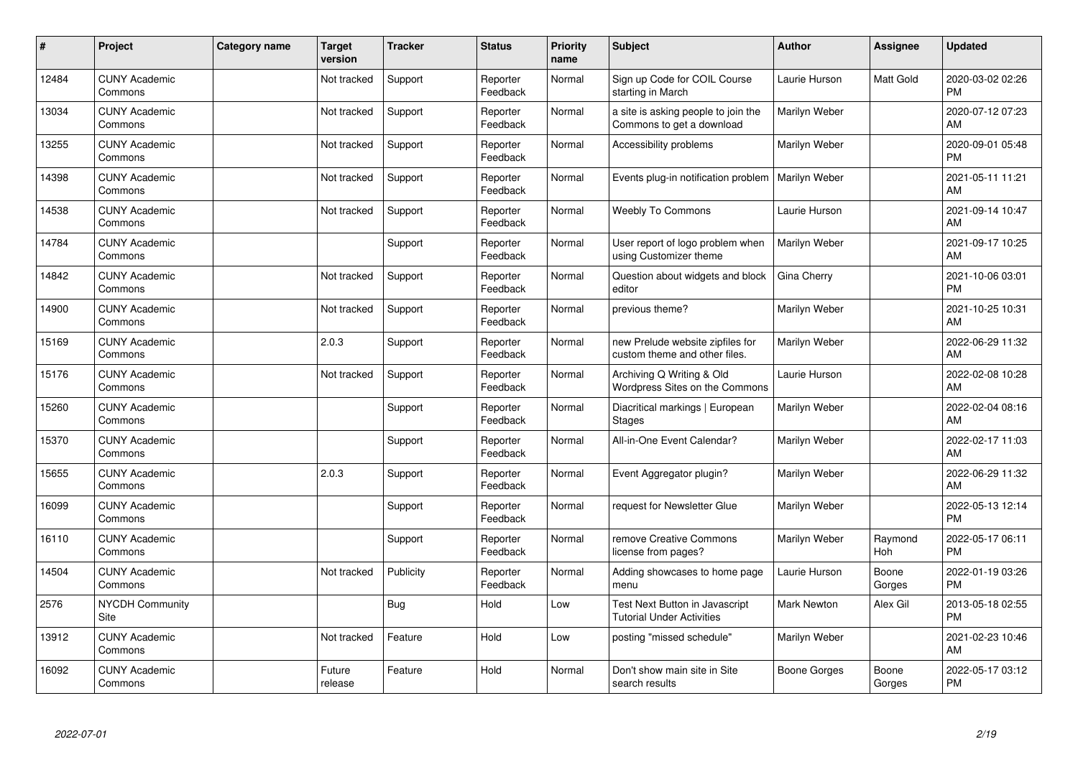| #     | Project                         | Category name | <b>Target</b><br>version | <b>Tracker</b> | <b>Status</b>        | <b>Priority</b><br>name | <b>Subject</b>                                                     | <b>Author</b> | <b>Assignee</b> | <b>Updated</b>                |
|-------|---------------------------------|---------------|--------------------------|----------------|----------------------|-------------------------|--------------------------------------------------------------------|---------------|-----------------|-------------------------------|
| 12484 | <b>CUNY Academic</b><br>Commons |               | Not tracked              | Support        | Reporter<br>Feedback | Normal                  | Sign up Code for COIL Course<br>starting in March                  | Laurie Hurson | Matt Gold       | 2020-03-02 02:26<br><b>PM</b> |
| 13034 | <b>CUNY Academic</b><br>Commons |               | Not tracked              | Support        | Reporter<br>Feedback | Normal                  | a site is asking people to join the<br>Commons to get a download   | Marilyn Weber |                 | 2020-07-12 07:23<br>AM        |
| 13255 | <b>CUNY Academic</b><br>Commons |               | Not tracked              | Support        | Reporter<br>Feedback | Normal                  | Accessibility problems                                             | Marilyn Weber |                 | 2020-09-01 05:48<br><b>PM</b> |
| 14398 | <b>CUNY Academic</b><br>Commons |               | Not tracked              | Support        | Reporter<br>Feedback | Normal                  | Events plug-in notification problem                                | Marilyn Weber |                 | 2021-05-11 11:21<br>AM        |
| 14538 | <b>CUNY Academic</b><br>Commons |               | Not tracked              | Support        | Reporter<br>Feedback | Normal                  | <b>Weebly To Commons</b>                                           | Laurie Hurson |                 | 2021-09-14 10:47<br>AM        |
| 14784 | <b>CUNY Academic</b><br>Commons |               |                          | Support        | Reporter<br>Feedback | Normal                  | User report of logo problem when<br>using Customizer theme         | Marilyn Weber |                 | 2021-09-17 10:25<br>AM        |
| 14842 | <b>CUNY Academic</b><br>Commons |               | Not tracked              | Support        | Reporter<br>Feedback | Normal                  | Question about widgets and block<br>editor                         | Gina Cherry   |                 | 2021-10-06 03:01<br><b>PM</b> |
| 14900 | <b>CUNY Academic</b><br>Commons |               | Not tracked              | Support        | Reporter<br>Feedback | Normal                  | previous theme?                                                    | Marilyn Weber |                 | 2021-10-25 10:31<br>AM        |
| 15169 | <b>CUNY Academic</b><br>Commons |               | 2.0.3                    | Support        | Reporter<br>Feedback | Normal                  | new Prelude website zipfiles for<br>custom theme and other files.  | Marilyn Weber |                 | 2022-06-29 11:32<br>AM        |
| 15176 | <b>CUNY Academic</b><br>Commons |               | Not tracked              | Support        | Reporter<br>Feedback | Normal                  | Archiving Q Writing & Old<br>Wordpress Sites on the Commons        | Laurie Hurson |                 | 2022-02-08 10:28<br>AM        |
| 15260 | <b>CUNY Academic</b><br>Commons |               |                          | Support        | Reporter<br>Feedback | Normal                  | Diacritical markings   European<br><b>Stages</b>                   | Marilyn Weber |                 | 2022-02-04 08:16<br>AM        |
| 15370 | <b>CUNY Academic</b><br>Commons |               |                          | Support        | Reporter<br>Feedback | Normal                  | All-in-One Event Calendar?                                         | Marilyn Weber |                 | 2022-02-17 11:03<br>AM        |
| 15655 | <b>CUNY Academic</b><br>Commons |               | 2.0.3                    | Support        | Reporter<br>Feedback | Normal                  | Event Aggregator plugin?                                           | Marilyn Weber |                 | 2022-06-29 11:32<br>AM        |
| 16099 | <b>CUNY Academic</b><br>Commons |               |                          | Support        | Reporter<br>Feedback | Normal                  | request for Newsletter Glue                                        | Marilyn Weber |                 | 2022-05-13 12:14<br><b>PM</b> |
| 16110 | <b>CUNY Academic</b><br>Commons |               |                          | Support        | Reporter<br>Feedback | Normal                  | remove Creative Commons<br>license from pages?                     | Marilyn Weber | Raymond<br>Hoh  | 2022-05-17 06:11<br><b>PM</b> |
| 14504 | <b>CUNY Academic</b><br>Commons |               | Not tracked              | Publicity      | Reporter<br>Feedback | Normal                  | Adding showcases to home page<br>menu                              | Laurie Hurson | Boone<br>Gorges | 2022-01-19 03:26<br><b>PM</b> |
| 2576  | <b>NYCDH Community</b><br>Site  |               |                          | <b>Bug</b>     | Hold                 | Low                     | Test Next Button in Javascript<br><b>Tutorial Under Activities</b> | Mark Newton   | Alex Gil        | 2013-05-18 02:55<br><b>PM</b> |
| 13912 | <b>CUNY Academic</b><br>Commons |               | Not tracked              | Feature        | Hold                 | Low                     | posting "missed schedule"                                          | Marilyn Weber |                 | 2021-02-23 10:46<br>AM        |
| 16092 | <b>CUNY Academic</b><br>Commons |               | Future<br>release        | Feature        | Hold                 | Normal                  | Don't show main site in Site<br>search results                     | Boone Gorges  | Boone<br>Gorges | 2022-05-17 03:12<br>PM        |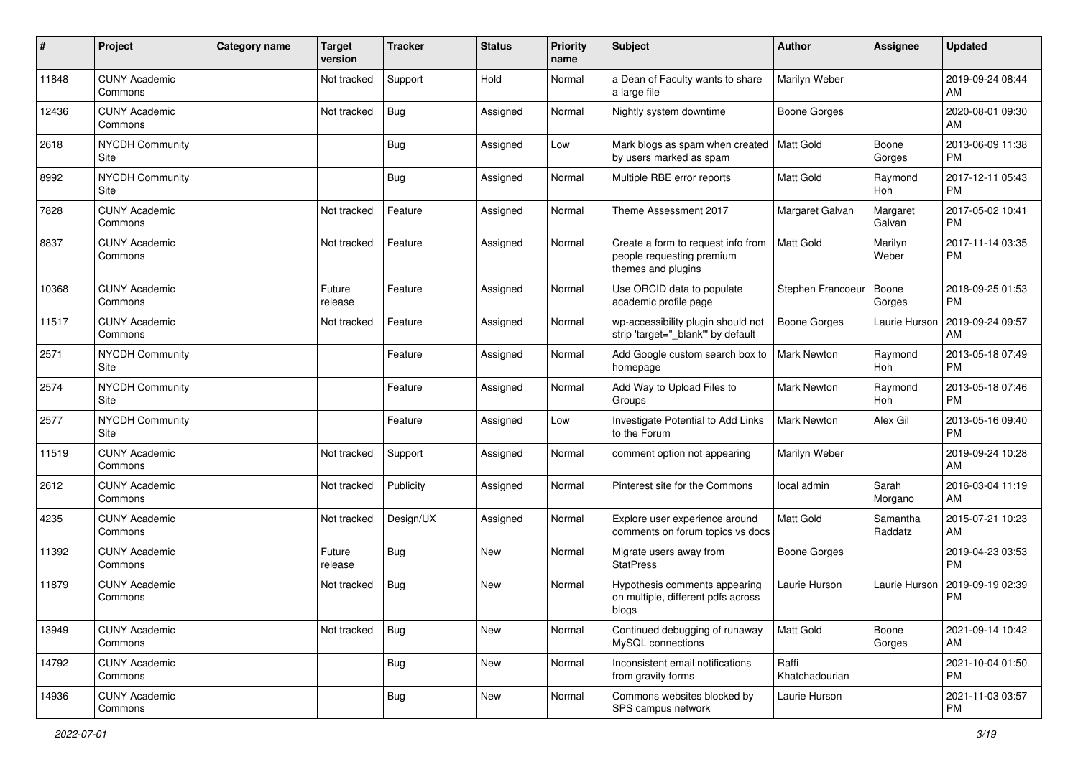| #     | Project                         | <b>Category name</b> | <b>Target</b><br>version | Tracker    | <b>Status</b> | <b>Priority</b><br>name | <b>Subject</b>                                                                        | <b>Author</b>           | Assignee            | <b>Updated</b>                |
|-------|---------------------------------|----------------------|--------------------------|------------|---------------|-------------------------|---------------------------------------------------------------------------------------|-------------------------|---------------------|-------------------------------|
| 11848 | <b>CUNY Academic</b><br>Commons |                      | Not tracked              | Support    | Hold          | Normal                  | a Dean of Faculty wants to share<br>a large file                                      | Marilyn Weber           |                     | 2019-09-24 08:44<br>AM        |
| 12436 | <b>CUNY Academic</b><br>Commons |                      | Not tracked              | Bug        | Assigned      | Normal                  | Nightly system downtime                                                               | <b>Boone Gorges</b>     |                     | 2020-08-01 09:30<br>AM        |
| 2618  | <b>NYCDH Community</b><br>Site  |                      |                          | <b>Bug</b> | Assigned      | Low                     | Mark blogs as spam when created<br>by users marked as spam                            | Matt Gold               | Boone<br>Gorges     | 2013-06-09 11:38<br><b>PM</b> |
| 8992  | <b>NYCDH Community</b><br>Site  |                      |                          | Bug        | Assigned      | Normal                  | Multiple RBE error reports                                                            | <b>Matt Gold</b>        | Raymond<br>Hoh      | 2017-12-11 05:43<br><b>PM</b> |
| 7828  | <b>CUNY Academic</b><br>Commons |                      | Not tracked              | Feature    | Assigned      | Normal                  | Theme Assessment 2017                                                                 | Margaret Galvan         | Margaret<br>Galvan  | 2017-05-02 10:41<br><b>PM</b> |
| 8837  | <b>CUNY Academic</b><br>Commons |                      | Not tracked              | Feature    | Assigned      | Normal                  | Create a form to request info from<br>people requesting premium<br>themes and plugins | Matt Gold               | Marilyn<br>Weber    | 2017-11-14 03:35<br>PM        |
| 10368 | <b>CUNY Academic</b><br>Commons |                      | Future<br>release        | Feature    | Assigned      | Normal                  | Use ORCID data to populate<br>academic profile page                                   | Stephen Francoeur       | Boone<br>Gorges     | 2018-09-25 01:53<br><b>PM</b> |
| 11517 | <b>CUNY Academic</b><br>Commons |                      | Not tracked              | Feature    | Assigned      | Normal                  | wp-accessibility plugin should not<br>strip 'target="_blank" by default               | Boone Gorges            | Laurie Hurson       | 2019-09-24 09:57<br>AM        |
| 2571  | <b>NYCDH Community</b><br>Site  |                      |                          | Feature    | Assigned      | Normal                  | Add Google custom search box to<br>homepage                                           | <b>Mark Newton</b>      | Raymond<br>Hoh      | 2013-05-18 07:49<br><b>PM</b> |
| 2574  | <b>NYCDH Community</b><br>Site  |                      |                          | Feature    | Assigned      | Normal                  | Add Way to Upload Files to<br>Groups                                                  | <b>Mark Newton</b>      | Raymond<br>Hoh      | 2013-05-18 07:46<br><b>PM</b> |
| 2577  | <b>NYCDH Community</b><br>Site  |                      |                          | Feature    | Assigned      | Low                     | Investigate Potential to Add Links<br>to the Forum                                    | Mark Newton             | Alex Gil            | 2013-05-16 09:40<br><b>PM</b> |
| 11519 | <b>CUNY Academic</b><br>Commons |                      | Not tracked              | Support    | Assigned      | Normal                  | comment option not appearing                                                          | Marilyn Weber           |                     | 2019-09-24 10:28<br>AM        |
| 2612  | <b>CUNY Academic</b><br>Commons |                      | Not tracked              | Publicity  | Assigned      | Normal                  | Pinterest site for the Commons                                                        | local admin             | Sarah<br>Morgano    | 2016-03-04 11:19<br>AM        |
| 4235  | <b>CUNY Academic</b><br>Commons |                      | Not tracked              | Design/UX  | Assigned      | Normal                  | Explore user experience around<br>comments on forum topics vs docs                    | <b>Matt Gold</b>        | Samantha<br>Raddatz | 2015-07-21 10:23<br>AM        |
| 11392 | <b>CUNY Academic</b><br>Commons |                      | Future<br>release        | Bug        | New           | Normal                  | Migrate users away from<br><b>StatPress</b>                                           | Boone Gorges            |                     | 2019-04-23 03:53<br><b>PM</b> |
| 11879 | <b>CUNY Academic</b><br>Commons |                      | Not tracked              | Bug        | New           | Normal                  | Hypothesis comments appearing<br>on multiple, different pdfs across<br>blogs          | Laurie Hurson           | Laurie Hurson       | 2019-09-19 02:39<br><b>PM</b> |
| 13949 | <b>CUNY Academic</b><br>Commons |                      | Not tracked              | Bug        | New           | Normal                  | Continued debugging of runaway<br>MySQL connections                                   | Matt Gold               | Boone<br>Gorges     | 2021-09-14 10:42<br>AM        |
| 14792 | <b>CUNY Academic</b><br>Commons |                      |                          | <b>Bug</b> | New           | Normal                  | Inconsistent email notifications<br>from gravity forms                                | Raffi<br>Khatchadourian |                     | 2021-10-04 01:50<br><b>PM</b> |
| 14936 | <b>CUNY Academic</b><br>Commons |                      |                          | <b>Bug</b> | New           | Normal                  | Commons websites blocked by<br>SPS campus network                                     | Laurie Hurson           |                     | 2021-11-03 03:57<br>PM        |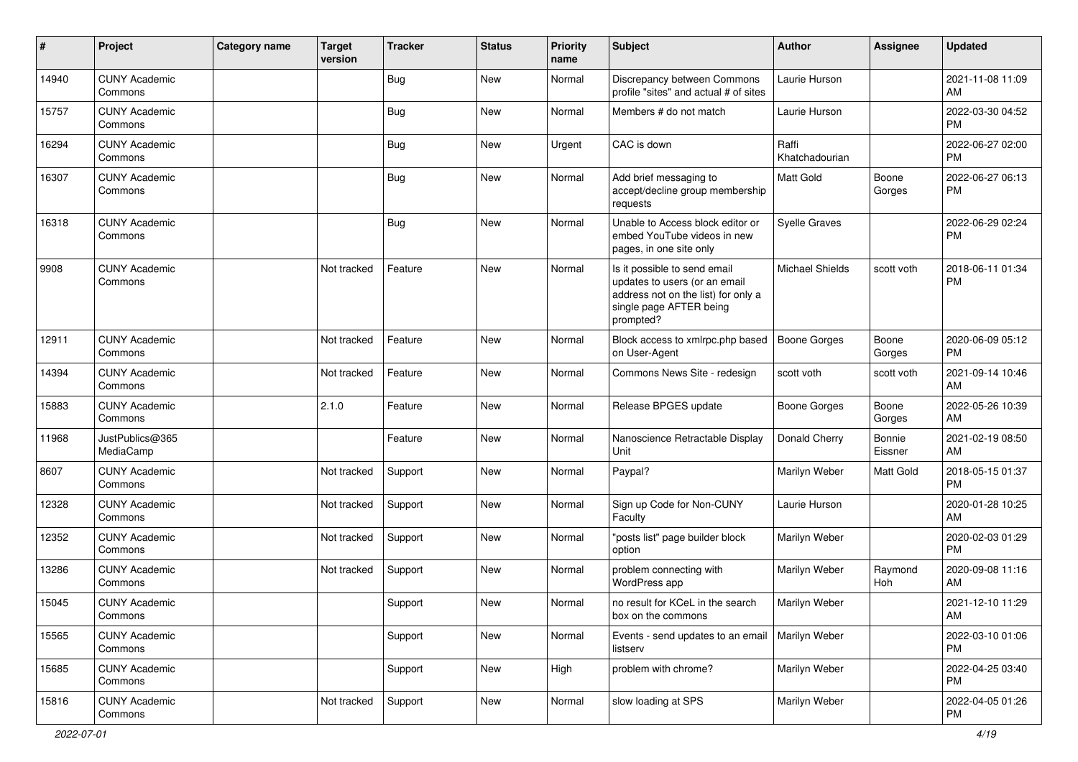| $\pmb{\#}$ | Project                         | Category name | <b>Target</b><br>version | <b>Tracker</b> | <b>Status</b> | <b>Priority</b><br>name | <b>Subject</b>                                                                                                                               | Author                  | Assignee          | <b>Updated</b>                |
|------------|---------------------------------|---------------|--------------------------|----------------|---------------|-------------------------|----------------------------------------------------------------------------------------------------------------------------------------------|-------------------------|-------------------|-------------------------------|
| 14940      | <b>CUNY Academic</b><br>Commons |               |                          | Bug            | <b>New</b>    | Normal                  | Discrepancy between Commons<br>profile "sites" and actual # of sites                                                                         | Laurie Hurson           |                   | 2021-11-08 11:09<br>AM        |
| 15757      | <b>CUNY Academic</b><br>Commons |               |                          | Bug            | New           | Normal                  | Members # do not match                                                                                                                       | Laurie Hurson           |                   | 2022-03-30 04:52<br><b>PM</b> |
| 16294      | <b>CUNY Academic</b><br>Commons |               |                          | Bug            | <b>New</b>    | Urgent                  | CAC is down                                                                                                                                  | Raffi<br>Khatchadourian |                   | 2022-06-27 02:00<br><b>PM</b> |
| 16307      | <b>CUNY Academic</b><br>Commons |               |                          | <b>Bug</b>     | <b>New</b>    | Normal                  | Add brief messaging to<br>accept/decline group membership<br>requests                                                                        | <b>Matt Gold</b>        | Boone<br>Gorges   | 2022-06-27 06:13<br><b>PM</b> |
| 16318      | <b>CUNY Academic</b><br>Commons |               |                          | <b>Bug</b>     | <b>New</b>    | Normal                  | Unable to Access block editor or<br>embed YouTube videos in new<br>pages, in one site only                                                   | <b>Syelle Graves</b>    |                   | 2022-06-29 02:24<br><b>PM</b> |
| 9908       | <b>CUNY Academic</b><br>Commons |               | Not tracked              | Feature        | <b>New</b>    | Normal                  | Is it possible to send email<br>updates to users (or an email<br>address not on the list) for only a<br>single page AFTER being<br>prompted? | <b>Michael Shields</b>  | scott voth        | 2018-06-11 01:34<br><b>PM</b> |
| 12911      | <b>CUNY Academic</b><br>Commons |               | Not tracked              | Feature        | <b>New</b>    | Normal                  | Block access to xmlrpc.php based<br>on User-Agent                                                                                            | <b>Boone Gorges</b>     | Boone<br>Gorges   | 2020-06-09 05:12<br>PM.       |
| 14394      | <b>CUNY Academic</b><br>Commons |               | Not tracked              | Feature        | New           | Normal                  | Commons News Site - redesign                                                                                                                 | scott voth              | scott voth        | 2021-09-14 10:46<br>AM        |
| 15883      | <b>CUNY Academic</b><br>Commons |               | 2.1.0                    | Feature        | <b>New</b>    | Normal                  | Release BPGES update                                                                                                                         | Boone Gorges            | Boone<br>Gorges   | 2022-05-26 10:39<br>AM        |
| 11968      | JustPublics@365<br>MediaCamp    |               |                          | Feature        | <b>New</b>    | Normal                  | Nanoscience Retractable Display<br>Unit                                                                                                      | Donald Cherry           | Bonnie<br>Eissner | 2021-02-19 08:50<br>AM        |
| 8607       | <b>CUNY Academic</b><br>Commons |               | Not tracked              | Support        | <b>New</b>    | Normal                  | Paypal?                                                                                                                                      | Marilyn Weber           | Matt Gold         | 2018-05-15 01:37<br><b>PM</b> |
| 12328      | <b>CUNY Academic</b><br>Commons |               | Not tracked              | Support        | <b>New</b>    | Normal                  | Sign up Code for Non-CUNY<br>Faculty                                                                                                         | Laurie Hurson           |                   | 2020-01-28 10:25<br>AM        |
| 12352      | <b>CUNY Academic</b><br>Commons |               | Not tracked              | Support        | <b>New</b>    | Normal                  | 'posts list" page builder block<br>option                                                                                                    | Marilyn Weber           |                   | 2020-02-03 01:29<br><b>PM</b> |
| 13286      | <b>CUNY Academic</b><br>Commons |               | Not tracked              | Support        | <b>New</b>    | Normal                  | problem connecting with<br>WordPress app                                                                                                     | Marilyn Weber           | Raymond<br>Hoh    | 2020-09-08 11:16<br>AM        |
| 15045      | <b>CUNY Academic</b><br>Commons |               |                          | Support        | New           | Normal                  | no result for KCeL in the search<br>box on the commons                                                                                       | Marilyn Weber           |                   | 2021-12-10 11:29<br>AM        |
| 15565      | <b>CUNY Academic</b><br>Commons |               |                          | Support        | New           | Normal                  | Events - send updates to an email<br>listserv                                                                                                | Marilyn Weber           |                   | 2022-03-10 01:06<br><b>PM</b> |
| 15685      | <b>CUNY Academic</b><br>Commons |               |                          | Support        | New           | High                    | problem with chrome?                                                                                                                         | Marilyn Weber           |                   | 2022-04-25 03:40<br>PM.       |
| 15816      | <b>CUNY Academic</b><br>Commons |               | Not tracked              | Support        | New           | Normal                  | slow loading at SPS                                                                                                                          | Marilyn Weber           |                   | 2022-04-05 01:26<br>PM        |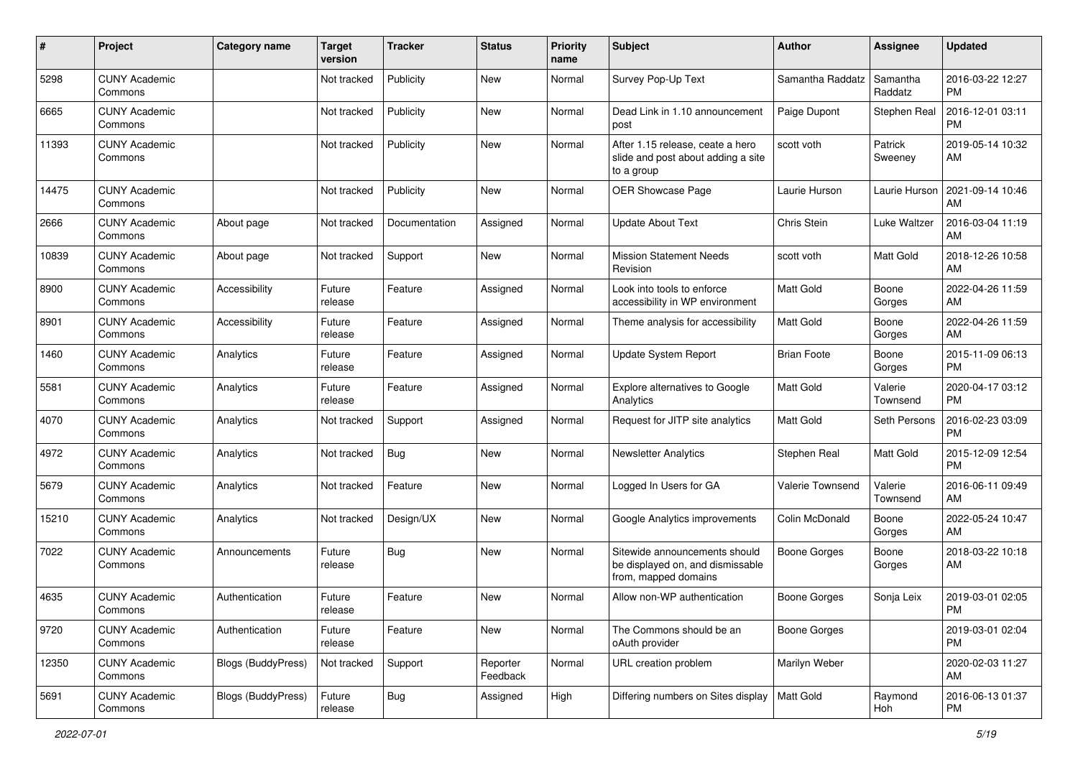| #     | Project                         | <b>Category name</b>      | <b>Target</b><br>version | <b>Tracker</b> | <b>Status</b>        | <b>Priority</b><br>name | Subject                                                                                   | Author              | Assignee            | <b>Updated</b>                |
|-------|---------------------------------|---------------------------|--------------------------|----------------|----------------------|-------------------------|-------------------------------------------------------------------------------------------|---------------------|---------------------|-------------------------------|
| 5298  | <b>CUNY Academic</b><br>Commons |                           | Not tracked              | Publicity      | <b>New</b>           | Normal                  | Survey Pop-Up Text                                                                        | Samantha Raddatz    | Samantha<br>Raddatz | 2016-03-22 12:27<br>PM        |
| 6665  | <b>CUNY Academic</b><br>Commons |                           | Not tracked              | Publicity      | New                  | Normal                  | Dead Link in 1.10 announcement<br>post                                                    | Paige Dupont        | Stephen Real        | 2016-12-01 03:11<br><b>PM</b> |
| 11393 | <b>CUNY Academic</b><br>Commons |                           | Not tracked              | Publicity      | <b>New</b>           | Normal                  | After 1.15 release, ceate a hero<br>slide and post about adding a site<br>to a group      | scott voth          | Patrick<br>Sweeney  | 2019-05-14 10:32<br>AM        |
| 14475 | <b>CUNY Academic</b><br>Commons |                           | Not tracked              | Publicity      | New                  | Normal                  | <b>OER Showcase Page</b>                                                                  | Laurie Hurson       | Laurie Hurson       | 2021-09-14 10:46<br>AM        |
| 2666  | <b>CUNY Academic</b><br>Commons | About page                | Not tracked              | Documentation  | Assigned             | Normal                  | <b>Update About Text</b>                                                                  | Chris Stein         | Luke Waltzer        | 2016-03-04 11:19<br>AM        |
| 10839 | <b>CUNY Academic</b><br>Commons | About page                | Not tracked              | Support        | New                  | Normal                  | <b>Mission Statement Needs</b><br>Revision                                                | scott voth          | Matt Gold           | 2018-12-26 10:58<br>AM        |
| 8900  | <b>CUNY Academic</b><br>Commons | Accessibility             | Future<br>release        | Feature        | Assigned             | Normal                  | Look into tools to enforce<br>accessibility in WP environment                             | <b>Matt Gold</b>    | Boone<br>Gorges     | 2022-04-26 11:59<br>AM        |
| 8901  | <b>CUNY Academic</b><br>Commons | Accessibility             | Future<br>release        | Feature        | Assigned             | Normal                  | Theme analysis for accessibility                                                          | <b>Matt Gold</b>    | Boone<br>Gorges     | 2022-04-26 11:59<br>AM        |
| 1460  | <b>CUNY Academic</b><br>Commons | Analytics                 | Future<br>release        | Feature        | Assigned             | Normal                  | Update System Report                                                                      | <b>Brian Foote</b>  | Boone<br>Gorges     | 2015-11-09 06:13<br>PM        |
| 5581  | <b>CUNY Academic</b><br>Commons | Analytics                 | Future<br>release        | Feature        | Assigned             | Normal                  | Explore alternatives to Google<br>Analytics                                               | <b>Matt Gold</b>    | Valerie<br>Townsend | 2020-04-17 03:12<br><b>PM</b> |
| 4070  | <b>CUNY Academic</b><br>Commons | Analytics                 | Not tracked              | Support        | Assigned             | Normal                  | Request for JITP site analytics                                                           | Matt Gold           | Seth Persons        | 2016-02-23 03:09<br><b>PM</b> |
| 4972  | <b>CUNY Academic</b><br>Commons | Analytics                 | Not tracked              | Bug            | New                  | Normal                  | <b>Newsletter Analytics</b>                                                               | Stephen Real        | Matt Gold           | 2015-12-09 12:54<br><b>PM</b> |
| 5679  | <b>CUNY Academic</b><br>Commons | Analytics                 | Not tracked              | Feature        | New                  | Normal                  | Logged In Users for GA                                                                    | Valerie Townsend    | Valerie<br>Townsend | 2016-06-11 09:49<br>AM        |
| 15210 | <b>CUNY Academic</b><br>Commons | Analytics                 | Not tracked              | Design/UX      | New                  | Normal                  | Google Analytics improvements                                                             | Colin McDonald      | Boone<br>Gorges     | 2022-05-24 10:47<br>AM        |
| 7022  | <b>CUNY Academic</b><br>Commons | Announcements             | Future<br>release        | Bug            | New                  | Normal                  | Sitewide announcements should<br>be displayed on, and dismissable<br>from, mapped domains | <b>Boone Gorges</b> | Boone<br>Gorges     | 2018-03-22 10:18<br>AM        |
| 4635  | <b>CUNY Academic</b><br>Commons | Authentication            | Future<br>release        | Feature        | New                  | Normal                  | Allow non-WP authentication                                                               | <b>Boone Gorges</b> | Sonja Leix          | 2019-03-01 02:05<br>PM        |
| 9720  | <b>CUNY Academic</b><br>Commons | Authentication            | Future<br>release        | Feature        | New                  | Normal                  | The Commons should be an<br>oAuth provider                                                | Boone Gorges        |                     | 2019-03-01 02:04<br><b>PM</b> |
| 12350 | <b>CUNY Academic</b><br>Commons | Blogs (BuddyPress)        | Not tracked              | Support        | Reporter<br>Feedback | Normal                  | URL creation problem                                                                      | Marilyn Weber       |                     | 2020-02-03 11:27<br>AM        |
| 5691  | <b>CUNY Academic</b><br>Commons | <b>Blogs (BuddyPress)</b> | Future<br>release        | <b>Bug</b>     | Assigned             | High                    | Differing numbers on Sites display                                                        | Matt Gold           | Raymond<br>Hoh      | 2016-06-13 01:37<br>PM        |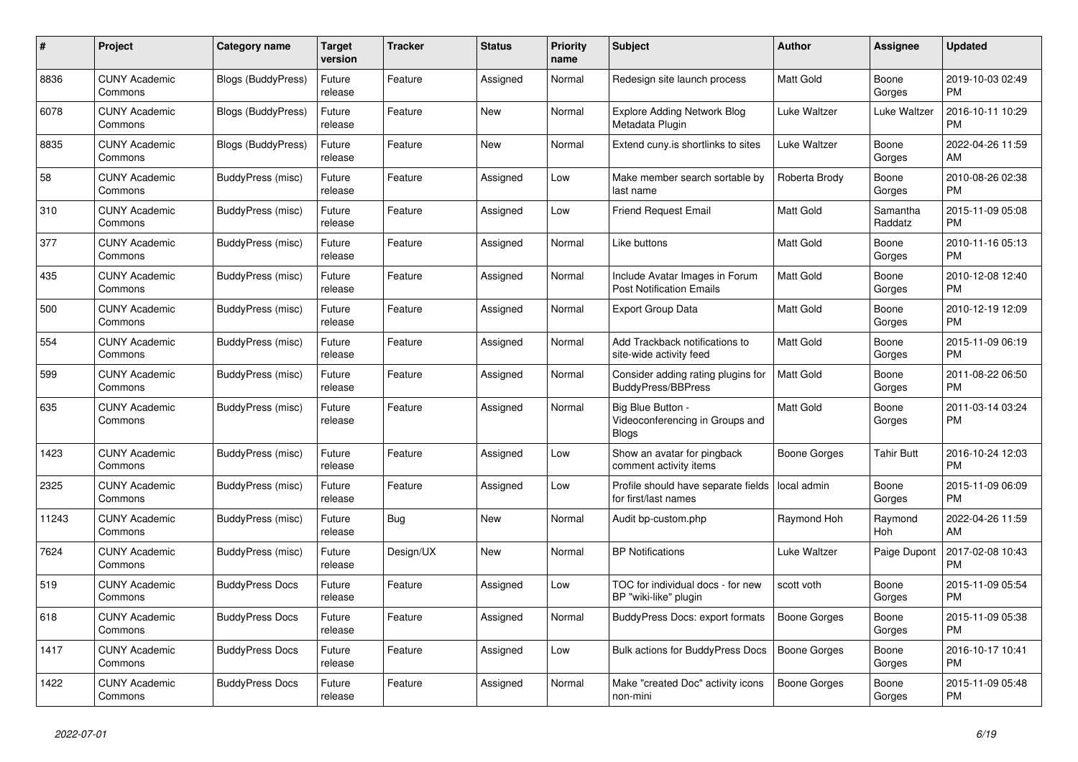| $\#$  | Project                         | <b>Category name</b>      | <b>Target</b><br>version | <b>Tracker</b> | <b>Status</b> | <b>Priority</b><br>name | <b>Subject</b>                                                       | <b>Author</b>       | Assignee            | <b>Updated</b>                |
|-------|---------------------------------|---------------------------|--------------------------|----------------|---------------|-------------------------|----------------------------------------------------------------------|---------------------|---------------------|-------------------------------|
| 8836  | <b>CUNY Academic</b><br>Commons | <b>Blogs (BuddyPress)</b> | Future<br>release        | Feature        | Assigned      | Normal                  | Redesign site launch process                                         | Matt Gold           | Boone<br>Gorges     | 2019-10-03 02:49<br><b>PM</b> |
| 6078  | <b>CUNY Academic</b><br>Commons | Blogs (BuddyPress)        | Future<br>release        | Feature        | New           | Normal                  | Explore Adding Network Blog<br>Metadata Plugin                       | Luke Waltzer        | Luke Waltzer        | 2016-10-11 10:29<br><b>PM</b> |
| 8835  | <b>CUNY Academic</b><br>Commons | <b>Blogs (BuddyPress)</b> | Future<br>release        | Feature        | <b>New</b>    | Normal                  | Extend cuny is shortlinks to sites                                   | Luke Waltzer        | Boone<br>Gorges     | 2022-04-26 11:59<br>AM        |
| 58    | <b>CUNY Academic</b><br>Commons | BuddyPress (misc)         | Future<br>release        | Feature        | Assigned      | Low                     | Make member search sortable by<br>last name                          | Roberta Brody       | Boone<br>Gorges     | 2010-08-26 02:38<br><b>PM</b> |
| 310   | <b>CUNY Academic</b><br>Commons | BuddyPress (misc)         | Future<br>release        | Feature        | Assigned      | Low                     | <b>Friend Request Email</b>                                          | Matt Gold           | Samantha<br>Raddatz | 2015-11-09 05:08<br><b>PM</b> |
| 377   | <b>CUNY Academic</b><br>Commons | BuddyPress (misc)         | Future<br>release        | Feature        | Assigned      | Normal                  | Like buttons                                                         | Matt Gold           | Boone<br>Gorges     | 2010-11-16 05:13<br><b>PM</b> |
| 435   | <b>CUNY Academic</b><br>Commons | <b>BuddyPress (misc)</b>  | Future<br>release        | Feature        | Assigned      | Normal                  | Include Avatar Images in Forum<br><b>Post Notification Emails</b>    | <b>Matt Gold</b>    | Boone<br>Gorges     | 2010-12-08 12:40<br><b>PM</b> |
| 500   | <b>CUNY Academic</b><br>Commons | BuddyPress (misc)         | Future<br>release        | Feature        | Assigned      | Normal                  | <b>Export Group Data</b>                                             | <b>Matt Gold</b>    | Boone<br>Gorges     | 2010-12-19 12:09<br><b>PM</b> |
| 554   | <b>CUNY Academic</b><br>Commons | BuddyPress (misc)         | Future<br>release        | Feature        | Assigned      | Normal                  | Add Trackback notifications to<br>site-wide activity feed            | Matt Gold           | Boone<br>Gorges     | 2015-11-09 06:19<br><b>PM</b> |
| 599   | <b>CUNY Academic</b><br>Commons | BuddyPress (misc)         | Future<br>release        | Feature        | Assigned      | Normal                  | Consider adding rating plugins for<br>BuddyPress/BBPress             | <b>Matt Gold</b>    | Boone<br>Gorges     | 2011-08-22 06:50<br><b>PM</b> |
| 635   | <b>CUNY Academic</b><br>Commons | BuddyPress (misc)         | Future<br>release        | Feature        | Assigned      | Normal                  | Big Blue Button -<br>Videoconferencing in Groups and<br><b>Blogs</b> | <b>Matt Gold</b>    | Boone<br>Gorges     | 2011-03-14 03:24<br>PM        |
| 1423  | <b>CUNY Academic</b><br>Commons | BuddyPress (misc)         | Future<br>release        | Feature        | Assigned      | Low                     | Show an avatar for pingback<br>comment activity items                | Boone Gorges        | Tahir Butt          | 2016-10-24 12:03<br><b>PM</b> |
| 2325  | <b>CUNY Academic</b><br>Commons | BuddyPress (misc)         | Future<br>release        | Feature        | Assigned      | Low                     | Profile should have separate fields<br>for first/last names          | local admin         | Boone<br>Gorges     | 2015-11-09 06:09<br><b>PM</b> |
| 11243 | <b>CUNY Academic</b><br>Commons | BuddyPress (misc)         | Future<br>release        | <b>Bug</b>     | New           | Normal                  | Audit bp-custom.php                                                  | Raymond Hoh         | Raymond<br>Hoh      | 2022-04-26 11:59<br>AM        |
| 7624  | <b>CUNY Academic</b><br>Commons | BuddyPress (misc)         | Future<br>release        | Design/UX      | New           | Normal                  | <b>BP</b> Notifications                                              | Luke Waltzer        | Paige Dupont        | 2017-02-08 10:43<br><b>PM</b> |
| 519   | <b>CUNY Academic</b><br>Commons | <b>BuddyPress Docs</b>    | Future<br>release        | Feature        | Assigned      | Low                     | TOC for individual docs - for new<br>BP "wiki-like" plugin           | scott voth          | Boone<br>Gorges     | 2015-11-09 05:54<br><b>PM</b> |
| 618   | <b>CUNY Academic</b><br>Commons | <b>BuddyPress Docs</b>    | Future<br>release        | Feature        | Assigned      | Normal                  | <b>BuddyPress Docs: export formats</b>                               | <b>Boone Gorges</b> | Boone<br>Gorges     | 2015-11-09 05:38<br><b>PM</b> |
| 1417  | <b>CUNY Academic</b><br>Commons | <b>BuddyPress Docs</b>    | Future<br>release        | Feature        | Assigned      | Low                     | Bulk actions for BuddyPress Docs                                     | <b>Boone Gorges</b> | Boone<br>Gorges     | 2016-10-17 10:41<br><b>PM</b> |
| 1422  | <b>CUNY Academic</b><br>Commons | <b>BuddyPress Docs</b>    | Future<br>release        | Feature        | Assigned      | Normal                  | Make "created Doc" activity icons<br>non-mini                        | Boone Gorges        | Boone<br>Gorges     | 2015-11-09 05:48<br>PM        |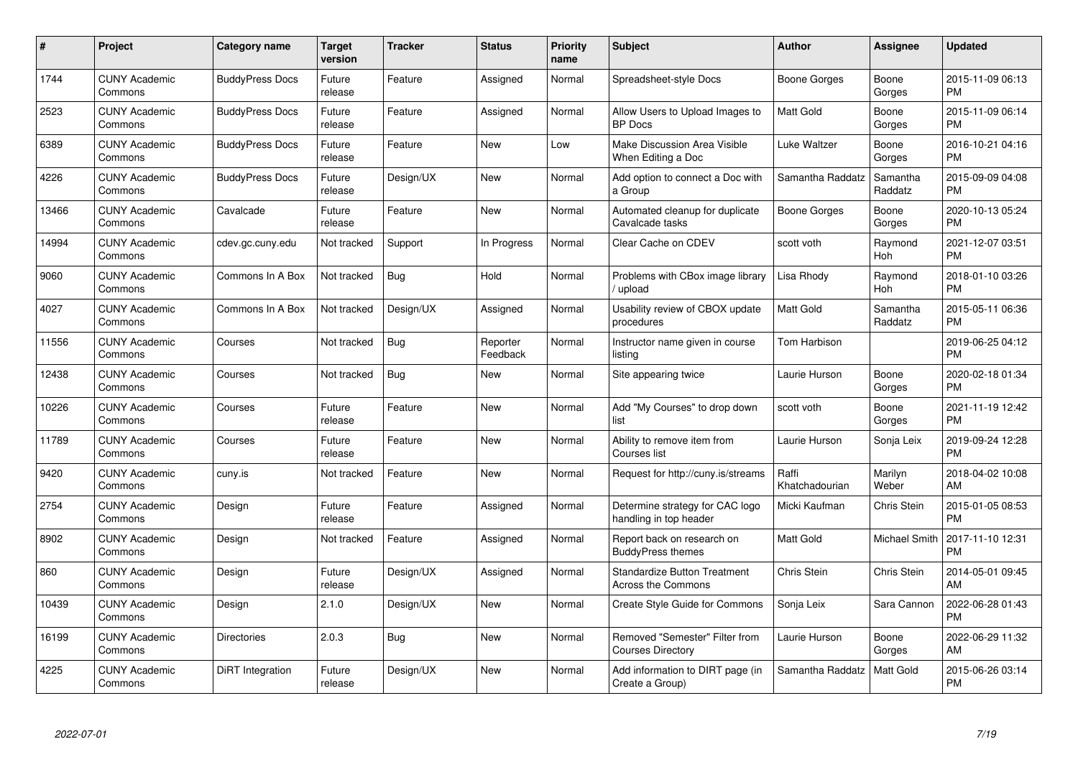| $\#$  | Project                         | <b>Category name</b>   | <b>Target</b><br>version | <b>Tracker</b> | <b>Status</b>        | Priority<br>name | <b>Subject</b>                                                   | <b>Author</b>           | <b>Assignee</b>     | <b>Updated</b>                |
|-------|---------------------------------|------------------------|--------------------------|----------------|----------------------|------------------|------------------------------------------------------------------|-------------------------|---------------------|-------------------------------|
| 1744  | <b>CUNY Academic</b><br>Commons | <b>BuddyPress Docs</b> | Future<br>release        | Feature        | Assigned             | Normal           | Spreadsheet-style Docs                                           | Boone Gorges            | Boone<br>Gorges     | 2015-11-09 06:13<br><b>PM</b> |
| 2523  | <b>CUNY Academic</b><br>Commons | <b>BuddyPress Docs</b> | Future<br>release        | Feature        | Assigned             | Normal           | Allow Users to Upload Images to<br>BP Docs                       | <b>Matt Gold</b>        | Boone<br>Gorges     | 2015-11-09 06:14<br><b>PM</b> |
| 6389  | <b>CUNY Academic</b><br>Commons | <b>BuddyPress Docs</b> | Future<br>release        | Feature        | <b>New</b>           | Low              | Make Discussion Area Visible<br>When Editing a Doc               | Luke Waltzer            | Boone<br>Gorges     | 2016-10-21 04:16<br><b>PM</b> |
| 4226  | <b>CUNY Academic</b><br>Commons | <b>BuddyPress Docs</b> | Future<br>release        | Design/UX      | <b>New</b>           | Normal           | Add option to connect a Doc with<br>a Group                      | Samantha Raddatz        | Samantha<br>Raddatz | 2015-09-09 04:08<br><b>PM</b> |
| 13466 | <b>CUNY Academic</b><br>Commons | Cavalcade              | Future<br>release        | Feature        | <b>New</b>           | Normal           | Automated cleanup for duplicate<br>Cavalcade tasks               | Boone Gorges            | Boone<br>Gorges     | 2020-10-13 05:24<br><b>PM</b> |
| 14994 | <b>CUNY Academic</b><br>Commons | cdev.gc.cuny.edu       | Not tracked              | Support        | In Progress          | Normal           | Clear Cache on CDEV                                              | scott voth              | Raymond<br>Hoh      | 2021-12-07 03:51<br><b>PM</b> |
| 9060  | <b>CUNY Academic</b><br>Commons | Commons In A Box       | Not tracked              | Bug            | Hold                 | Normal           | Problems with CBox image library<br>/ upload                     | Lisa Rhody              | Raymond<br>Hoh      | 2018-01-10 03:26<br><b>PM</b> |
| 4027  | <b>CUNY Academic</b><br>Commons | Commons In A Box       | Not tracked              | Design/UX      | Assigned             | Normal           | Usability review of CBOX update<br>procedures                    | Matt Gold               | Samantha<br>Raddatz | 2015-05-11 06:36<br><b>PM</b> |
| 11556 | <b>CUNY Academic</b><br>Commons | Courses                | Not tracked              | Bug            | Reporter<br>Feedback | Normal           | Instructor name given in course<br>listing                       | Tom Harbison            |                     | 2019-06-25 04:12<br><b>PM</b> |
| 12438 | <b>CUNY Academic</b><br>Commons | Courses                | Not tracked              | Bug            | <b>New</b>           | Normal           | Site appearing twice                                             | Laurie Hurson           | Boone<br>Gorges     | 2020-02-18 01:34<br><b>PM</b> |
| 10226 | <b>CUNY Academic</b><br>Commons | Courses                | Future<br>release        | Feature        | <b>New</b>           | Normal           | Add "My Courses" to drop down<br>list                            | scott voth              | Boone<br>Gorges     | 2021-11-19 12:42<br><b>PM</b> |
| 11789 | <b>CUNY Academic</b><br>Commons | Courses                | Future<br>release        | Feature        | New                  | Normal           | Ability to remove item from<br>Courses list                      | Laurie Hurson           | Sonja Leix          | 2019-09-24 12:28<br><b>PM</b> |
| 9420  | <b>CUNY Academic</b><br>Commons | cuny.is                | Not tracked              | Feature        | <b>New</b>           | Normal           | Request for http://cuny.is/streams                               | Raffi<br>Khatchadourian | Marilyn<br>Weber    | 2018-04-02 10:08<br>AM        |
| 2754  | <b>CUNY Academic</b><br>Commons | Design                 | Future<br>release        | Feature        | Assigned             | Normal           | Determine strategy for CAC logo<br>handling in top header        | Micki Kaufman           | Chris Stein         | 2015-01-05 08:53<br><b>PM</b> |
| 8902  | <b>CUNY Academic</b><br>Commons | Design                 | Not tracked              | Feature        | Assigned             | Normal           | Report back on research on<br><b>BuddyPress themes</b>           | Matt Gold               | Michael Smith       | 2017-11-10 12:31<br><b>PM</b> |
| 860   | <b>CUNY Academic</b><br>Commons | Design                 | Future<br>release        | Design/UX      | Assigned             | Normal           | <b>Standardize Button Treatment</b><br><b>Across the Commons</b> | Chris Stein             | Chris Stein         | 2014-05-01 09:45<br>AM        |
| 10439 | <b>CUNY Academic</b><br>Commons | Design                 | 2.1.0                    | Design/UX      | New                  | Normal           | Create Style Guide for Commons                                   | Sonja Leix              | Sara Cannon         | 2022-06-28 01:43<br><b>PM</b> |
| 16199 | <b>CUNY Academic</b><br>Commons | <b>Directories</b>     | 2.0.3                    | Bug            | <b>New</b>           | Normal           | Removed "Semester" Filter from<br><b>Courses Directory</b>       | Laurie Hurson           | Boone<br>Gorges     | 2022-06-29 11:32<br>AM        |
| 4225  | CUNY Academic<br>Commons        | DiRT Integration       | Future<br>release        | Design/UX      | <b>New</b>           | Normal           | Add information to DIRT page (in<br>Create a Group)              | Samantha Raddatz        | Matt Gold           | 2015-06-26 03:14<br><b>PM</b> |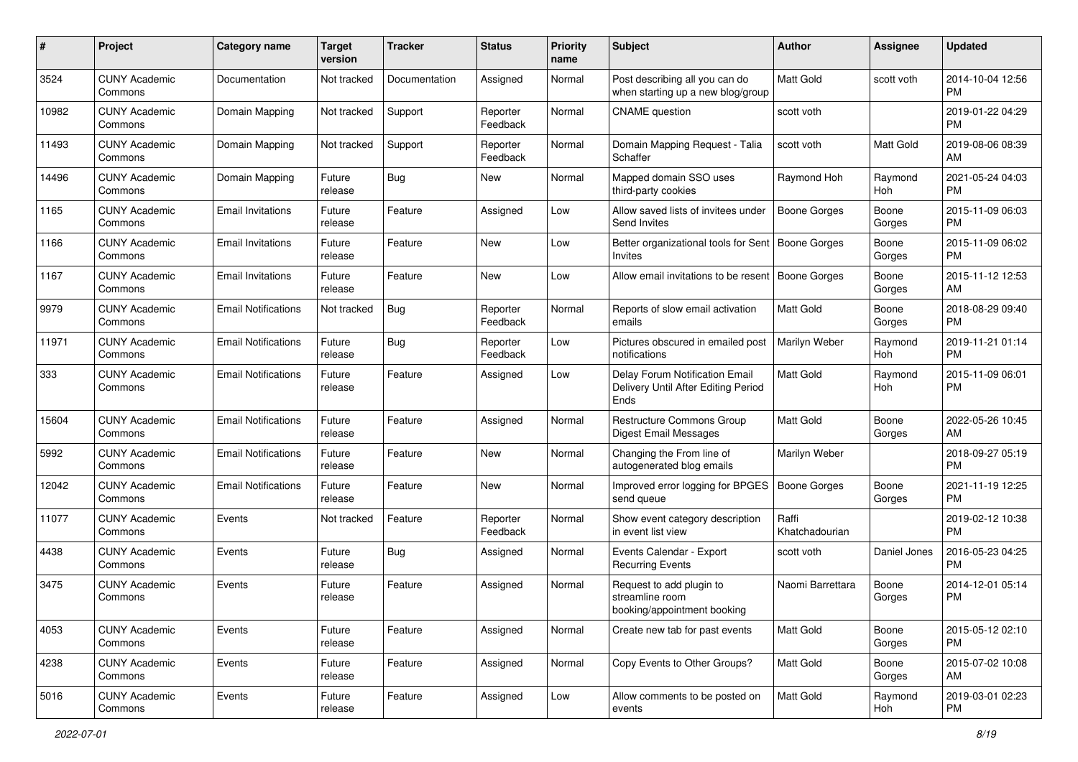| #     | Project                         | <b>Category name</b>       | <b>Target</b><br>version | <b>Tracker</b> | <b>Status</b>        | Priority<br>name | <b>Subject</b>                                                                | <b>Author</b>           | <b>Assignee</b> | <b>Updated</b>                |
|-------|---------------------------------|----------------------------|--------------------------|----------------|----------------------|------------------|-------------------------------------------------------------------------------|-------------------------|-----------------|-------------------------------|
| 3524  | <b>CUNY Academic</b><br>Commons | Documentation              | Not tracked              | Documentation  | Assigned             | Normal           | Post describing all you can do<br>when starting up a new blog/group           | <b>Matt Gold</b>        | scott voth      | 2014-10-04 12:56<br>PM.       |
| 10982 | <b>CUNY Academic</b><br>Commons | Domain Mapping             | Not tracked              | Support        | Reporter<br>Feedback | Normal           | <b>CNAME</b> question                                                         | scott voth              |                 | 2019-01-22 04:29<br><b>PM</b> |
| 11493 | <b>CUNY Academic</b><br>Commons | Domain Mapping             | Not tracked              | Support        | Reporter<br>Feedback | Normal           | Domain Mapping Request - Talia<br>Schaffer                                    | scott voth              | Matt Gold       | 2019-08-06 08:39<br>AM        |
| 14496 | <b>CUNY Academic</b><br>Commons | Domain Mapping             | Future<br>release        | Bug            | New                  | Normal           | Mapped domain SSO uses<br>third-party cookies                                 | Raymond Hoh             | Raymond<br>Hoh  | 2021-05-24 04:03<br><b>PM</b> |
| 1165  | <b>CUNY Academic</b><br>Commons | <b>Email Invitations</b>   | Future<br>release        | Feature        | Assigned             | Low              | Allow saved lists of invitees under<br>Send Invites                           | Boone Gorges            | Boone<br>Gorges | 2015-11-09 06:03<br><b>PM</b> |
| 1166  | <b>CUNY Academic</b><br>Commons | <b>Email Invitations</b>   | Future<br>release        | Feature        | New                  | Low              | Better organizational tools for Sent<br>Invites                               | Boone Gorges            | Boone<br>Gorges | 2015-11-09 06:02<br><b>PM</b> |
| 1167  | <b>CUNY Academic</b><br>Commons | <b>Email Invitations</b>   | Future<br>release        | Feature        | New                  | Low              | Allow email invitations to be resent                                          | Boone Gorges            | Boone<br>Gorges | 2015-11-12 12:53<br>AM        |
| 9979  | <b>CUNY Academic</b><br>Commons | <b>Email Notifications</b> | Not tracked              | Bug            | Reporter<br>Feedback | Normal           | Reports of slow email activation<br>emails                                    | <b>Matt Gold</b>        | Boone<br>Gorges | 2018-08-29 09:40<br>PM.       |
| 11971 | <b>CUNY Academic</b><br>Commons | <b>Email Notifications</b> | Future<br>release        | <b>Bug</b>     | Reporter<br>Feedback | Low              | Pictures obscured in emailed post<br>notifications                            | Marilyn Weber           | Raymond<br>Hoh  | 2019-11-21 01:14<br><b>PM</b> |
| 333   | <b>CUNY Academic</b><br>Commons | <b>Email Notifications</b> | Future<br>release        | Feature        | Assigned             | Low              | Delay Forum Notification Email<br>Delivery Until After Editing Period<br>Ends | Matt Gold               | Raymond<br>Hoh  | 2015-11-09 06:01<br><b>PM</b> |
| 15604 | <b>CUNY Academic</b><br>Commons | <b>Email Notifications</b> | Future<br>release        | Feature        | Assigned             | Normal           | Restructure Commons Group<br>Digest Email Messages                            | <b>Matt Gold</b>        | Boone<br>Gorges | 2022-05-26 10:45<br>AM        |
| 5992  | <b>CUNY Academic</b><br>Commons | <b>Email Notifications</b> | Future<br>release        | Feature        | New                  | Normal           | Changing the From line of<br>autogenerated blog emails                        | Marilyn Weber           |                 | 2018-09-27 05:19<br><b>PM</b> |
| 12042 | <b>CUNY Academic</b><br>Commons | <b>Email Notifications</b> | Future<br>release        | Feature        | <b>New</b>           | Normal           | Improved error logging for BPGES<br>send queue                                | <b>Boone Gorges</b>     | Boone<br>Gorges | 2021-11-19 12:25<br><b>PM</b> |
| 11077 | <b>CUNY Academic</b><br>Commons | Events                     | Not tracked              | Feature        | Reporter<br>Feedback | Normal           | Show event category description<br>in event list view                         | Raffi<br>Khatchadourian |                 | 2019-02-12 10:38<br><b>PM</b> |
| 4438  | <b>CUNY Academic</b><br>Commons | Events                     | Future<br>release        | <b>Bug</b>     | Assigned             | Normal           | Events Calendar - Export<br><b>Recurring Events</b>                           | scott voth              | Daniel Jones    | 2016-05-23 04:25<br><b>PM</b> |
| 3475  | <b>CUNY Academic</b><br>Commons | Events                     | Future<br>release        | Feature        | Assigned             | Normal           | Request to add plugin to<br>streamline room<br>booking/appointment booking    | Naomi Barrettara        | Boone<br>Gorges | 2014-12-01 05:14<br><b>PM</b> |
| 4053  | <b>CUNY Academic</b><br>Commons | Events                     | Future<br>release        | Feature        | Assigned             | Normal           | Create new tab for past events                                                | Matt Gold               | Boone<br>Gorges | 2015-05-12 02:10<br>PM        |
| 4238  | <b>CUNY Academic</b><br>Commons | Events                     | Future<br>release        | Feature        | Assigned             | Normal           | Copy Events to Other Groups?                                                  | Matt Gold               | Boone<br>Gorges | 2015-07-02 10:08<br>AM        |
| 5016  | <b>CUNY Academic</b><br>Commons | Events                     | Future<br>release        | Feature        | Assigned             | Low              | Allow comments to be posted on<br>events                                      | Matt Gold               | Raymond<br>Hoh  | 2019-03-01 02:23<br><b>PM</b> |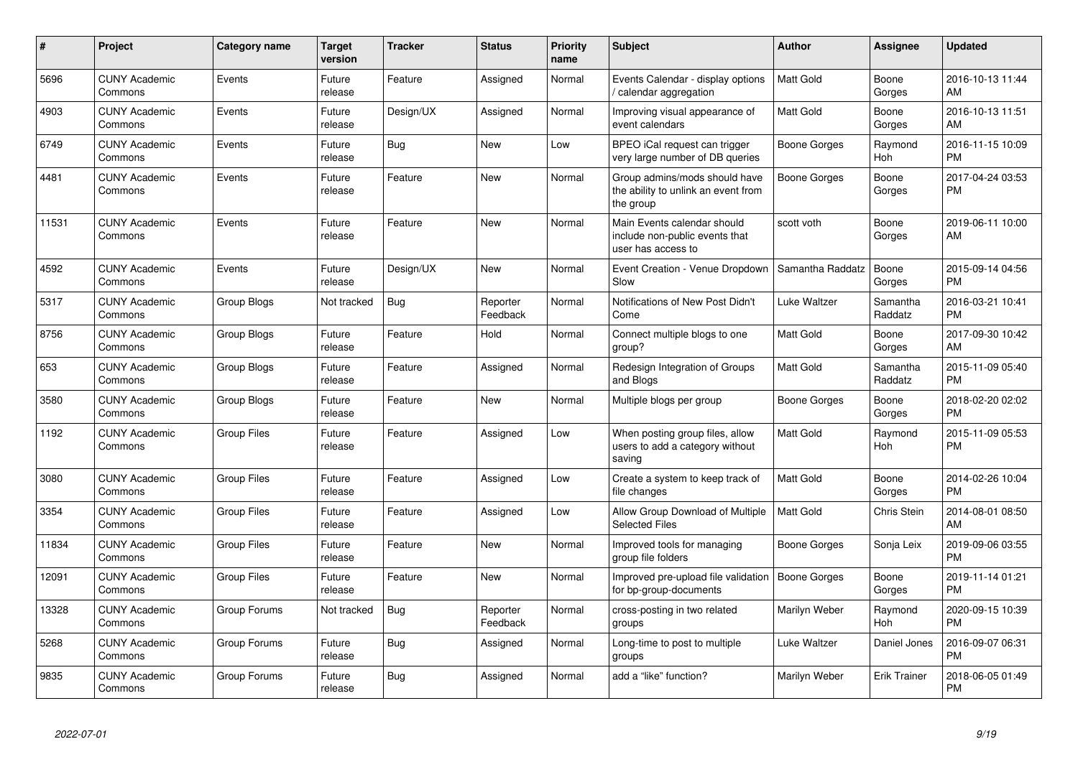| #     | <b>Project</b>                  | Category name      | <b>Target</b><br>version | <b>Tracker</b> | <b>Status</b>        | <b>Priority</b><br>name | <b>Subject</b>                                                                      | Author              | <b>Assignee</b>     | <b>Updated</b>                |
|-------|---------------------------------|--------------------|--------------------------|----------------|----------------------|-------------------------|-------------------------------------------------------------------------------------|---------------------|---------------------|-------------------------------|
| 5696  | <b>CUNY Academic</b><br>Commons | Events             | Future<br>release        | Feature        | Assigned             | Normal                  | Events Calendar - display options<br>/ calendar aggregation                         | <b>Matt Gold</b>    | Boone<br>Gorges     | 2016-10-13 11:44<br>AM        |
| 4903  | <b>CUNY Academic</b><br>Commons | Events             | Future<br>release        | Design/UX      | Assigned             | Normal                  | Improving visual appearance of<br>event calendars                                   | Matt Gold           | Boone<br>Gorges     | 2016-10-13 11:51<br>AM        |
| 6749  | <b>CUNY Academic</b><br>Commons | Events             | Future<br>release        | <b>Bug</b>     | <b>New</b>           | Low                     | BPEO iCal request can trigger<br>very large number of DB queries                    | Boone Gorges        | Raymond<br>Hoh      | 2016-11-15 10:09<br><b>PM</b> |
| 4481  | <b>CUNY Academic</b><br>Commons | Events             | Future<br>release        | Feature        | <b>New</b>           | Normal                  | Group admins/mods should have<br>the ability to unlink an event from<br>the group   | <b>Boone Gorges</b> | Boone<br>Gorges     | 2017-04-24 03:53<br><b>PM</b> |
| 11531 | <b>CUNY Academic</b><br>Commons | Events             | Future<br>release        | Feature        | New                  | Normal                  | Main Events calendar should<br>include non-public events that<br>user has access to | scott voth          | Boone<br>Gorges     | 2019-06-11 10:00<br><b>AM</b> |
| 4592  | <b>CUNY Academic</b><br>Commons | Events             | Future<br>release        | Design/UX      | <b>New</b>           | Normal                  | Event Creation - Venue Dropdown<br>Slow                                             | Samantha Raddatz    | Boone<br>Gorges     | 2015-09-14 04:56<br><b>PM</b> |
| 5317  | <b>CUNY Academic</b><br>Commons | Group Blogs        | Not tracked              | <b>Bug</b>     | Reporter<br>Feedback | Normal                  | Notifications of New Post Didn't<br>Come                                            | Luke Waltzer        | Samantha<br>Raddatz | 2016-03-21 10:41<br><b>PM</b> |
| 8756  | <b>CUNY Academic</b><br>Commons | Group Blogs        | Future<br>release        | Feature        | Hold                 | Normal                  | Connect multiple blogs to one<br>group?                                             | Matt Gold           | Boone<br>Gorges     | 2017-09-30 10:42<br>AM        |
| 653   | <b>CUNY Academic</b><br>Commons | Group Blogs        | Future<br>release        | Feature        | Assigned             | Normal                  | Redesign Integration of Groups<br>and Blogs                                         | Matt Gold           | Samantha<br>Raddatz | 2015-11-09 05:40<br><b>PM</b> |
| 3580  | <b>CUNY Academic</b><br>Commons | Group Blogs        | Future<br>release        | Feature        | New                  | Normal                  | Multiple blogs per group                                                            | Boone Gorges        | Boone<br>Gorges     | 2018-02-20 02:02<br><b>PM</b> |
| 1192  | <b>CUNY Academic</b><br>Commons | <b>Group Files</b> | Future<br>release        | Feature        | Assigned             | Low                     | When posting group files, allow<br>users to add a category without<br>saving        | <b>Matt Gold</b>    | Raymond<br>Hoh      | 2015-11-09 05:53<br><b>PM</b> |
| 3080  | <b>CUNY Academic</b><br>Commons | Group Files        | Future<br>release        | Feature        | Assigned             | Low                     | Create a system to keep track of<br>file changes                                    | <b>Matt Gold</b>    | Boone<br>Gorges     | 2014-02-26 10:04<br><b>PM</b> |
| 3354  | <b>CUNY Academic</b><br>Commons | Group Files        | Future<br>release        | Feature        | Assigned             | Low                     | Allow Group Download of Multiple<br><b>Selected Files</b>                           | <b>Matt Gold</b>    | Chris Stein         | 2014-08-01 08:50<br>AM        |
| 11834 | <b>CUNY Academic</b><br>Commons | <b>Group Files</b> | Future<br>release        | Feature        | <b>New</b>           | Normal                  | Improved tools for managing<br>group file folders                                   | Boone Gorges        | Sonja Leix          | 2019-09-06 03:55<br><b>PM</b> |
| 12091 | <b>CUNY Academic</b><br>Commons | Group Files        | Future<br>release        | Feature        | New                  | Normal                  | Improved pre-upload file validation<br>for bp-group-documents                       | <b>Boone Gorges</b> | Boone<br>Gorges     | 2019-11-14 01:21<br><b>PM</b> |
| 13328 | <b>CUNY Academic</b><br>Commons | Group Forums       | Not tracked              | <b>Bug</b>     | Reporter<br>Feedback | Normal                  | cross-posting in two related<br>groups                                              | Marilyn Weber       | Raymond<br>Hoh      | 2020-09-15 10:39<br><b>PM</b> |
| 5268  | <b>CUNY Academic</b><br>Commons | Group Forums       | Future<br>release        | Bug            | Assigned             | Normal                  | Long-time to post to multiple<br>groups                                             | Luke Waltzer        | Daniel Jones        | 2016-09-07 06:31<br><b>PM</b> |
| 9835  | <b>CUNY Academic</b><br>Commons | Group Forums       | Future<br>release        | <b>Bug</b>     | Assigned             | Normal                  | add a "like" function?                                                              | Marilyn Weber       | <b>Erik Trainer</b> | 2018-06-05 01:49<br>PM        |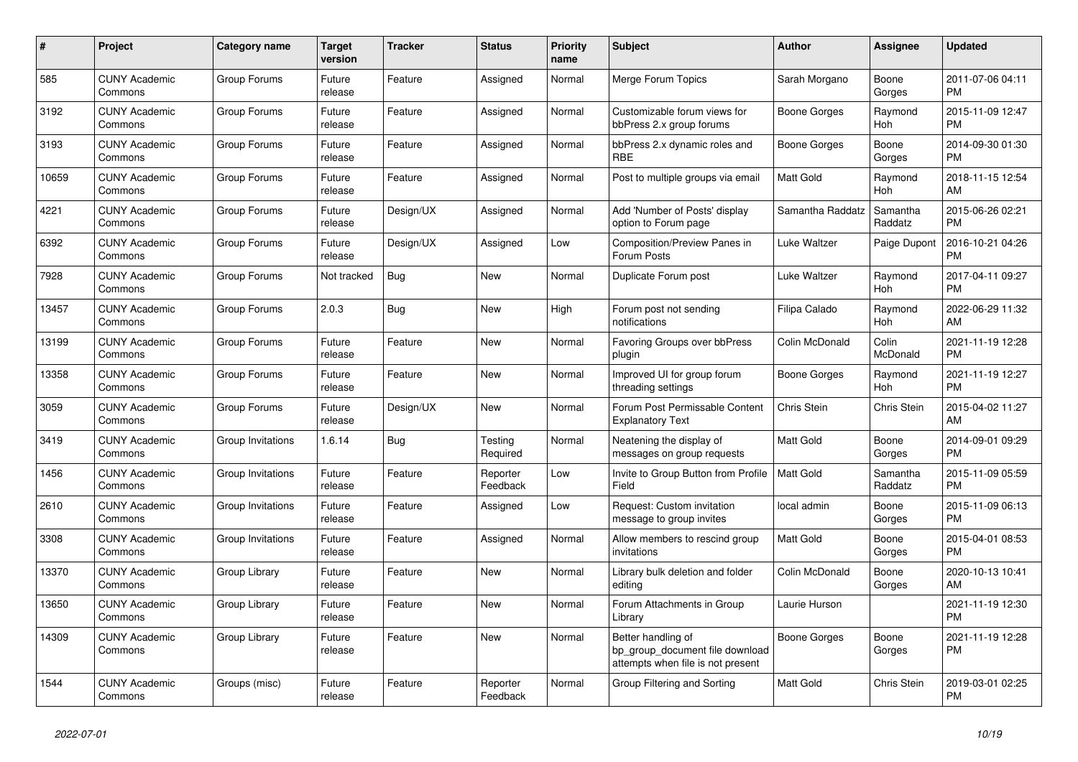| $\pmb{\#}$ | Project                         | Category name     | <b>Target</b><br>version | Tracker    | <b>Status</b>        | <b>Priority</b><br>name | <b>Subject</b>                                                                             | <b>Author</b>       | Assignee            | <b>Updated</b>                |
|------------|---------------------------------|-------------------|--------------------------|------------|----------------------|-------------------------|--------------------------------------------------------------------------------------------|---------------------|---------------------|-------------------------------|
| 585        | <b>CUNY Academic</b><br>Commons | Group Forums      | Future<br>release        | Feature    | Assigned             | Normal                  | Merge Forum Topics                                                                         | Sarah Morgano       | Boone<br>Gorges     | 2011-07-06 04:11<br><b>PM</b> |
| 3192       | <b>CUNY Academic</b><br>Commons | Group Forums      | Future<br>release        | Feature    | Assigned             | Normal                  | Customizable forum views for<br>bbPress 2.x group forums                                   | Boone Gorges        | Raymond<br>Hoh      | 2015-11-09 12:47<br><b>PM</b> |
| 3193       | <b>CUNY Academic</b><br>Commons | Group Forums      | Future<br>release        | Feature    | Assigned             | Normal                  | bbPress 2.x dynamic roles and<br><b>RBE</b>                                                | Boone Gorges        | Boone<br>Gorges     | 2014-09-30 01:30<br><b>PM</b> |
| 10659      | <b>CUNY Academic</b><br>Commons | Group Forums      | Future<br>release        | Feature    | Assigned             | Normal                  | Post to multiple groups via email                                                          | <b>Matt Gold</b>    | Raymond<br>Hoh      | 2018-11-15 12:54<br>AM        |
| 4221       | <b>CUNY Academic</b><br>Commons | Group Forums      | Future<br>release        | Design/UX  | Assigned             | Normal                  | Add 'Number of Posts' display<br>option to Forum page                                      | Samantha Raddatz    | Samantha<br>Raddatz | 2015-06-26 02:21<br><b>PM</b> |
| 6392       | <b>CUNY Academic</b><br>Commons | Group Forums      | Future<br>release        | Design/UX  | Assigned             | Low                     | Composition/Preview Panes in<br>Forum Posts                                                | Luke Waltzer        | Paige Dupont        | 2016-10-21 04:26<br><b>PM</b> |
| 7928       | <b>CUNY Academic</b><br>Commons | Group Forums      | Not tracked              | <b>Bug</b> | <b>New</b>           | Normal                  | Duplicate Forum post                                                                       | Luke Waltzer        | Raymond<br>Hoh      | 2017-04-11 09:27<br><b>PM</b> |
| 13457      | <b>CUNY Academic</b><br>Commons | Group Forums      | 2.0.3                    | <b>Bug</b> | New                  | High                    | Forum post not sending<br>notifications                                                    | Filipa Calado       | Raymond<br>Hoh      | 2022-06-29 11:32<br>AM        |
| 13199      | <b>CUNY Academic</b><br>Commons | Group Forums      | Future<br>release        | Feature    | <b>New</b>           | Normal                  | Favoring Groups over bbPress<br>plugin                                                     | Colin McDonald      | Colin<br>McDonald   | 2021-11-19 12:28<br><b>PM</b> |
| 13358      | <b>CUNY Academic</b><br>Commons | Group Forums      | Future<br>release        | Feature    | <b>New</b>           | Normal                  | Improved UI for group forum<br>threading settings                                          | Boone Gorges        | Raymond<br>Hoh      | 2021-11-19 12:27<br><b>PM</b> |
| 3059       | <b>CUNY Academic</b><br>Commons | Group Forums      | Future<br>release        | Design/UX  | New                  | Normal                  | Forum Post Permissable Content<br><b>Explanatory Text</b>                                  | Chris Stein         | Chris Stein         | 2015-04-02 11:27<br>AM        |
| 3419       | <b>CUNY Academic</b><br>Commons | Group Invitations | 1.6.14                   | <b>Bug</b> | Testing<br>Required  | Normal                  | Neatening the display of<br>messages on group requests                                     | Matt Gold           | Boone<br>Gorges     | 2014-09-01 09:29<br><b>PM</b> |
| 1456       | <b>CUNY Academic</b><br>Commons | Group Invitations | Future<br>release        | Feature    | Reporter<br>Feedback | Low                     | Invite to Group Button from Profile<br>Field                                               | <b>Matt Gold</b>    | Samantha<br>Raddatz | 2015-11-09 05:59<br><b>PM</b> |
| 2610       | <b>CUNY Academic</b><br>Commons | Group Invitations | Future<br>release        | Feature    | Assigned             | Low                     | Request: Custom invitation<br>message to group invites                                     | local admin         | Boone<br>Gorges     | 2015-11-09 06:13<br>PM        |
| 3308       | <b>CUNY Academic</b><br>Commons | Group Invitations | Future<br>release        | Feature    | Assigned             | Normal                  | Allow members to rescind group<br>invitations                                              | <b>Matt Gold</b>    | Boone<br>Gorges     | 2015-04-01 08:53<br><b>PM</b> |
| 13370      | <b>CUNY Academic</b><br>Commons | Group Library     | Future<br>release        | Feature    | New                  | Normal                  | Library bulk deletion and folder<br>editing                                                | Colin McDonald      | Boone<br>Gorges     | 2020-10-13 10:41<br>AM        |
| 13650      | <b>CUNY Academic</b><br>Commons | Group Library     | Future<br>release        | Feature    | <b>New</b>           | Normal                  | Forum Attachments in Group<br>Library                                                      | Laurie Hurson       |                     | 2021-11-19 12:30<br><b>PM</b> |
| 14309      | <b>CUNY Academic</b><br>Commons | Group Library     | Future<br>release        | Feature    | New                  | Normal                  | Better handling of<br>bp_group_document file download<br>attempts when file is not present | <b>Boone Gorges</b> | Boone<br>Gorges     | 2021-11-19 12:28<br><b>PM</b> |
| 1544       | <b>CUNY Academic</b><br>Commons | Groups (misc)     | Future<br>release        | Feature    | Reporter<br>Feedback | Normal                  | Group Filtering and Sorting                                                                | Matt Gold           | <b>Chris Stein</b>  | 2019-03-01 02:25<br><b>PM</b> |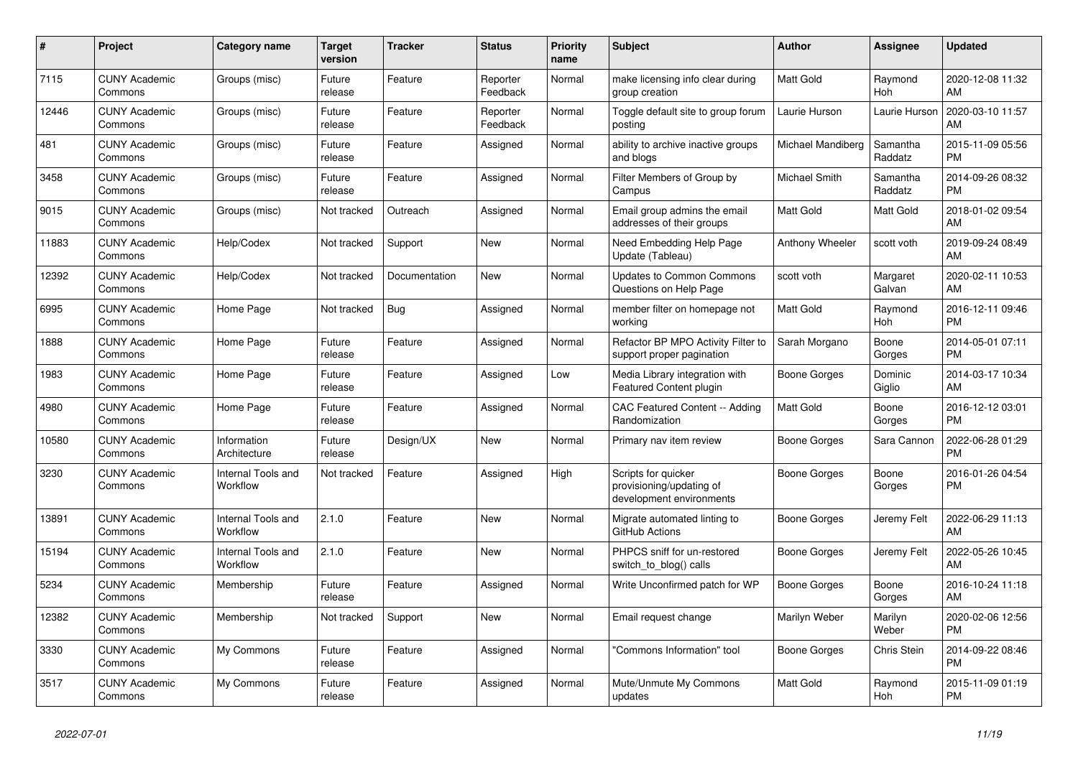| #     | <b>Project</b>                  | Category name                  | Target<br>version | <b>Tracker</b> | <b>Status</b>        | <b>Priority</b><br>name | <b>Subject</b>                                                              | <b>Author</b>     | Assignee            | <b>Updated</b>                |
|-------|---------------------------------|--------------------------------|-------------------|----------------|----------------------|-------------------------|-----------------------------------------------------------------------------|-------------------|---------------------|-------------------------------|
| 7115  | <b>CUNY Academic</b><br>Commons | Groups (misc)                  | Future<br>release | Feature        | Reporter<br>Feedback | Normal                  | make licensing info clear during<br>group creation                          | Matt Gold         | Raymond<br>Hoh      | 2020-12-08 11:32<br>AM        |
| 12446 | <b>CUNY Academic</b><br>Commons | Groups (misc)                  | Future<br>release | Feature        | Reporter<br>Feedback | Normal                  | Toggle default site to group forum<br>posting                               | Laurie Hurson     | Laurie Hurson       | 2020-03-10 11:57<br>AM        |
| 481   | <b>CUNY Academic</b><br>Commons | Groups (misc)                  | Future<br>release | Feature        | Assigned             | Normal                  | ability to archive inactive groups<br>and blogs                             | Michael Mandiberg | Samantha<br>Raddatz | 2015-11-09 05:56<br><b>PM</b> |
| 3458  | <b>CUNY Academic</b><br>Commons | Groups (misc)                  | Future<br>release | Feature        | Assigned             | Normal                  | Filter Members of Group by<br>Campus                                        | Michael Smith     | Samantha<br>Raddatz | 2014-09-26 08:32<br><b>PM</b> |
| 9015  | <b>CUNY Academic</b><br>Commons | Groups (misc)                  | Not tracked       | Outreach       | Assigned             | Normal                  | Email group admins the email<br>addresses of their groups                   | Matt Gold         | Matt Gold           | 2018-01-02 09:54<br>AM        |
| 11883 | <b>CUNY Academic</b><br>Commons | Help/Codex                     | Not tracked       | Support        | New                  | Normal                  | Need Embedding Help Page<br>Update (Tableau)                                | Anthony Wheeler   | scott voth          | 2019-09-24 08:49<br><b>AM</b> |
| 12392 | <b>CUNY Academic</b><br>Commons | Help/Codex                     | Not tracked       | Documentation  | <b>New</b>           | Normal                  | <b>Updates to Common Commons</b><br>Questions on Help Page                  | scott voth        | Margaret<br>Galvan  | 2020-02-11 10:53<br>AM        |
| 6995  | <b>CUNY Academic</b><br>Commons | Home Page                      | Not tracked       | Bug            | Assigned             | Normal                  | member filter on homepage not<br>working                                    | Matt Gold         | Raymond<br>Hoh      | 2016-12-11 09:46<br><b>PM</b> |
| 1888  | <b>CUNY Academic</b><br>Commons | Home Page                      | Future<br>release | Feature        | Assigned             | Normal                  | Refactor BP MPO Activity Filter to<br>support proper pagination             | Sarah Morgano     | Boone<br>Gorges     | 2014-05-01 07:11<br><b>PM</b> |
| 1983  | <b>CUNY Academic</b><br>Commons | Home Page                      | Future<br>release | Feature        | Assigned             | Low                     | Media Library integration with<br><b>Featured Content plugin</b>            | Boone Gorges      | Dominic<br>Giglio   | 2014-03-17 10:34<br>AM        |
| 4980  | <b>CUNY Academic</b><br>Commons | Home Page                      | Future<br>release | Feature        | Assigned             | Normal                  | CAC Featured Content -- Adding<br>Randomization                             | Matt Gold         | Boone<br>Gorges     | 2016-12-12 03:01<br>PM        |
| 10580 | <b>CUNY Academic</b><br>Commons | Information<br>Architecture    | Future<br>release | Design/UX      | New                  | Normal                  | Primary nav item review                                                     | Boone Gorges      | Sara Cannon         | 2022-06-28 01:29<br><b>PM</b> |
| 3230  | <b>CUNY Academic</b><br>Commons | Internal Tools and<br>Workflow | Not tracked       | Feature        | Assigned             | High                    | Scripts for quicker<br>provisioning/updating of<br>development environments | Boone Gorges      | Boone<br>Gorges     | 2016-01-26 04:54<br><b>PM</b> |
| 13891 | <b>CUNY Academic</b><br>Commons | Internal Tools and<br>Workflow | 2.1.0             | Feature        | New                  | Normal                  | Migrate automated linting to<br>GitHub Actions                              | Boone Gorges      | Jeremy Felt         | 2022-06-29 11:13<br>AM        |
| 15194 | <b>CUNY Academic</b><br>Commons | Internal Tools and<br>Workflow | 2.1.0             | Feature        | New                  | Normal                  | PHPCS sniff for un-restored<br>switch_to_blog() calls                       | Boone Gorges      | Jeremy Felt         | 2022-05-26 10:45<br>AM        |
| 5234  | <b>CUNY Academic</b><br>Commons | Membership                     | Future<br>release | Feature        | Assigned             | Normal                  | Write Unconfirmed patch for WP                                              | Boone Gorges      | Boone<br>Gorges     | 2016-10-24 11:18<br>AM        |
| 12382 | <b>CUNY Academic</b><br>Commons | Membership                     | Not tracked       | Support        | New                  | Normal                  | Email request change                                                        | Marilyn Weber     | Marilyn<br>Weber    | 2020-02-06 12:56<br><b>PM</b> |
| 3330  | <b>CUNY Academic</b><br>Commons | My Commons                     | Future<br>release | Feature        | Assigned             | Normal                  | 'Commons Information" tool                                                  | Boone Gorges      | <b>Chris Stein</b>  | 2014-09-22 08:46<br><b>PM</b> |
| 3517  | <b>CUNY Academic</b><br>Commons | My Commons                     | Future<br>release | Feature        | Assigned             | Normal                  | Mute/Unmute My Commons<br>updates                                           | <b>Matt Gold</b>  | Raymond<br>Hoh      | 2015-11-09 01:19<br><b>PM</b> |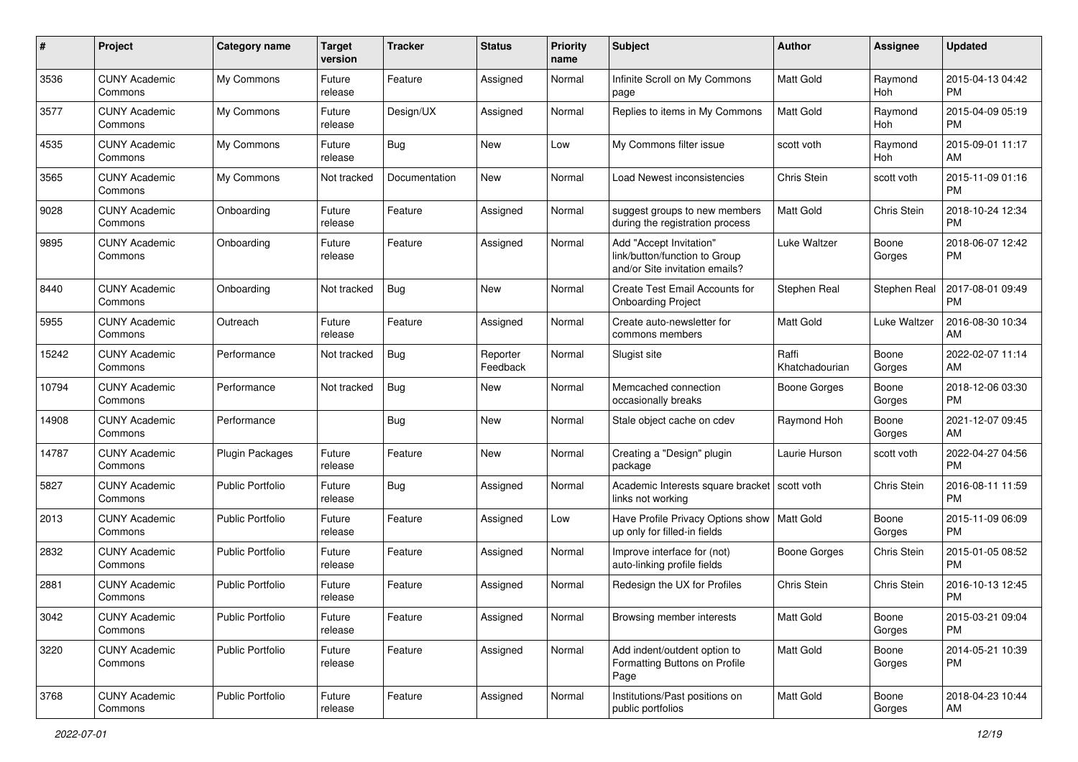| #     | Project                         | <b>Category name</b>    | <b>Target</b><br>version | <b>Tracker</b> | <b>Status</b>        | Priority<br>name | <b>Subject</b>                                                                             | Author                  | <b>Assignee</b> | <b>Updated</b>                |
|-------|---------------------------------|-------------------------|--------------------------|----------------|----------------------|------------------|--------------------------------------------------------------------------------------------|-------------------------|-----------------|-------------------------------|
| 3536  | <b>CUNY Academic</b><br>Commons | My Commons              | Future<br>release        | Feature        | Assigned             | Normal           | Infinite Scroll on My Commons<br>page                                                      | <b>Matt Gold</b>        | Raymond<br>Hoh  | 2015-04-13 04:42<br><b>PM</b> |
| 3577  | <b>CUNY Academic</b><br>Commons | My Commons              | Future<br>release        | Design/UX      | Assigned             | Normal           | Replies to items in My Commons                                                             | <b>Matt Gold</b>        | Raymond<br>Hoh  | 2015-04-09 05:19<br><b>PM</b> |
| 4535  | <b>CUNY Academic</b><br>Commons | My Commons              | Future<br>release        | Bug            | New                  | Low              | My Commons filter issue                                                                    | scott voth              | Raymond<br>Hoh  | 2015-09-01 11:17<br>AM        |
| 3565  | <b>CUNY Academic</b><br>Commons | My Commons              | Not tracked              | Documentation  | New                  | Normal           | Load Newest inconsistencies                                                                | Chris Stein             | scott voth      | 2015-11-09 01:16<br><b>PM</b> |
| 9028  | <b>CUNY Academic</b><br>Commons | Onboarding              | Future<br>release        | Feature        | Assigned             | Normal           | suggest groups to new members<br>during the registration process                           | <b>Matt Gold</b>        | Chris Stein     | 2018-10-24 12:34<br><b>PM</b> |
| 9895  | <b>CUNY Academic</b><br>Commons | Onboarding              | Future<br>release        | Feature        | Assigned             | Normal           | Add "Accept Invitation"<br>link/button/function to Group<br>and/or Site invitation emails? | Luke Waltzer            | Boone<br>Gorges | 2018-06-07 12:42<br><b>PM</b> |
| 8440  | <b>CUNY Academic</b><br>Commons | Onboarding              | Not tracked              | Bug            | New                  | Normal           | Create Test Email Accounts for<br><b>Onboarding Project</b>                                | Stephen Real            | Stephen Real    | 2017-08-01 09:49<br><b>PM</b> |
| 5955  | <b>CUNY Academic</b><br>Commons | Outreach                | Future<br>release        | Feature        | Assigned             | Normal           | Create auto-newsletter for<br>commons members                                              | <b>Matt Gold</b>        | Luke Waltzer    | 2016-08-30 10:34<br>AM        |
| 15242 | <b>CUNY Academic</b><br>Commons | Performance             | Not tracked              | Bug            | Reporter<br>Feedback | Normal           | Slugist site                                                                               | Raffi<br>Khatchadourian | Boone<br>Gorges | 2022-02-07 11:14<br>AM        |
| 10794 | <b>CUNY Academic</b><br>Commons | Performance             | Not tracked              | Bug            | New                  | Normal           | Memcached connection<br>occasionally breaks                                                | Boone Gorges            | Boone<br>Gorges | 2018-12-06 03:30<br><b>PM</b> |
| 14908 | <b>CUNY Academic</b><br>Commons | Performance             |                          | <b>Bug</b>     | New                  | Normal           | Stale object cache on cdev                                                                 | Raymond Hoh             | Boone<br>Gorges | 2021-12-07 09:45<br>AM        |
| 14787 | <b>CUNY Academic</b><br>Commons | Plugin Packages         | Future<br>release        | Feature        | New                  | Normal           | Creating a "Design" plugin<br>package                                                      | Laurie Hurson           | scott voth      | 2022-04-27 04:56<br><b>PM</b> |
| 5827  | <b>CUNY Academic</b><br>Commons | Public Portfolio        | Future<br>release        | Bug            | Assigned             | Normal           | Academic Interests square bracket   scott voth<br>links not working                        |                         | Chris Stein     | 2016-08-11 11:59<br><b>PM</b> |
| 2013  | <b>CUNY Academic</b><br>Commons | <b>Public Portfolio</b> | Future<br>release        | Feature        | Assigned             | Low              | Have Profile Privacy Options show   Matt Gold<br>up only for filled-in fields              |                         | Boone<br>Gorges | 2015-11-09 06:09<br><b>PM</b> |
| 2832  | <b>CUNY Academic</b><br>Commons | <b>Public Portfolio</b> | Future<br>release        | Feature        | Assigned             | Normal           | Improve interface for (not)<br>auto-linking profile fields                                 | <b>Boone Gorges</b>     | Chris Stein     | 2015-01-05 08:52<br><b>PM</b> |
| 2881  | <b>CUNY Academic</b><br>Commons | Public Portfolio        | Future<br>release        | Feature        | Assigned             | Normal           | Redesign the UX for Profiles                                                               | Chris Stein             | Chris Stein     | 2016-10-13 12:45<br><b>PM</b> |
| 3042  | <b>CUNY Academic</b><br>Commons | Public Portfolio        | Future<br>release        | Feature        | Assigned             | Normal           | Browsing member interests                                                                  | Matt Gold               | Boone<br>Gorges | 2015-03-21 09:04<br><b>PM</b> |
| 3220  | <b>CUNY Academic</b><br>Commons | Public Portfolio        | Future<br>release        | Feature        | Assigned             | Normal           | Add indent/outdent option to<br>Formatting Buttons on Profile<br>Page                      | Matt Gold               | Boone<br>Gorges | 2014-05-21 10:39<br><b>PM</b> |
| 3768  | <b>CUNY Academic</b><br>Commons | Public Portfolio        | Future<br>release        | Feature        | Assigned             | Normal           | Institutions/Past positions on<br>public portfolios                                        | Matt Gold               | Boone<br>Gorges | 2018-04-23 10:44<br>AM        |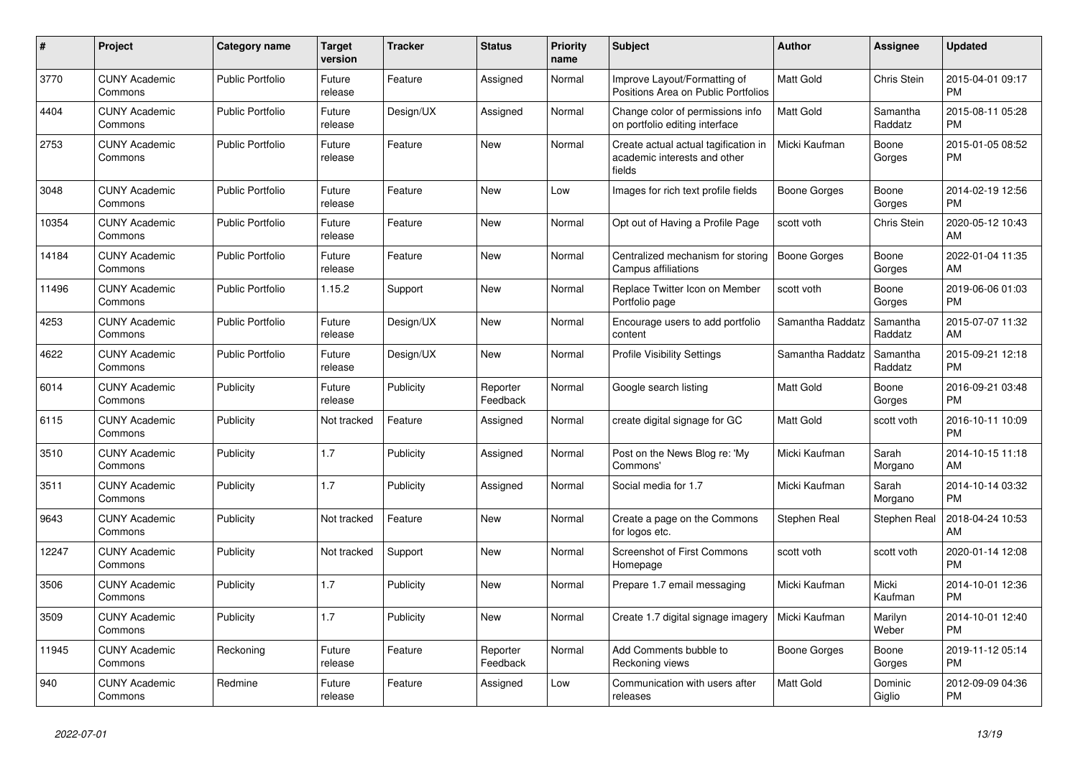| #     | <b>Project</b>                  | <b>Category name</b>    | <b>Target</b><br>version | <b>Tracker</b> | <b>Status</b>        | <b>Priority</b><br>name | <b>Subject</b>                                                                 | <b>Author</b>       | Assignee            | <b>Updated</b>                |
|-------|---------------------------------|-------------------------|--------------------------|----------------|----------------------|-------------------------|--------------------------------------------------------------------------------|---------------------|---------------------|-------------------------------|
| 3770  | <b>CUNY Academic</b><br>Commons | <b>Public Portfolio</b> | Future<br>release        | Feature        | Assigned             | Normal                  | Improve Layout/Formatting of<br>Positions Area on Public Portfolios            | <b>Matt Gold</b>    | Chris Stein         | 2015-04-01 09:17<br><b>PM</b> |
| 4404  | <b>CUNY Academic</b><br>Commons | <b>Public Portfolio</b> | Future<br>release        | Design/UX      | Assigned             | Normal                  | Change color of permissions info<br>on portfolio editing interface             | <b>Matt Gold</b>    | Samantha<br>Raddatz | 2015-08-11 05:28<br><b>PM</b> |
| 2753  | <b>CUNY Academic</b><br>Commons | <b>Public Portfolio</b> | Future<br>release        | Feature        | New                  | Normal                  | Create actual actual tagification in<br>academic interests and other<br>fields | Micki Kaufman       | Boone<br>Gorges     | 2015-01-05 08:52<br><b>PM</b> |
| 3048  | <b>CUNY Academic</b><br>Commons | <b>Public Portfolio</b> | Future<br>release        | Feature        | <b>New</b>           | Low                     | Images for rich text profile fields                                            | Boone Gorges        | Boone<br>Gorges     | 2014-02-19 12:56<br><b>PM</b> |
| 10354 | <b>CUNY Academic</b><br>Commons | Public Portfolio        | Future<br>release        | Feature        | New                  | Normal                  | Opt out of Having a Profile Page                                               | scott voth          | Chris Stein         | 2020-05-12 10:43<br>AM        |
| 14184 | <b>CUNY Academic</b><br>Commons | <b>Public Portfolio</b> | Future<br>release        | Feature        | New                  | Normal                  | Centralized mechanism for storing<br>Campus affiliations                       | <b>Boone Gorges</b> | Boone<br>Gorges     | 2022-01-04 11:35<br>AM        |
| 11496 | <b>CUNY Academic</b><br>Commons | <b>Public Portfolio</b> | 1.15.2                   | Support        | <b>New</b>           | Normal                  | Replace Twitter Icon on Member<br>Portfolio page                               | scott voth          | Boone<br>Gorges     | 2019-06-06 01:03<br><b>PM</b> |
| 4253  | <b>CUNY Academic</b><br>Commons | Public Portfolio        | Future<br>release        | Design/UX      | New                  | Normal                  | Encourage users to add portfolio<br>content                                    | Samantha Raddatz    | Samantha<br>Raddatz | 2015-07-07 11:32<br><b>AM</b> |
| 4622  | <b>CUNY Academic</b><br>Commons | <b>Public Portfolio</b> | Future<br>release        | Design/UX      | New                  | Normal                  | <b>Profile Visibility Settings</b>                                             | Samantha Raddatz    | Samantha<br>Raddatz | 2015-09-21 12:18<br><b>PM</b> |
| 6014  | <b>CUNY Academic</b><br>Commons | Publicity               | Future<br>release        | Publicity      | Reporter<br>Feedback | Normal                  | Google search listing                                                          | <b>Matt Gold</b>    | Boone<br>Gorges     | 2016-09-21 03:48<br><b>PM</b> |
| 6115  | <b>CUNY Academic</b><br>Commons | Publicity               | Not tracked              | Feature        | Assigned             | Normal                  | create digital signage for GC                                                  | Matt Gold           | scott voth          | 2016-10-11 10:09<br><b>PM</b> |
| 3510  | <b>CUNY Academic</b><br>Commons | Publicity               | 1.7                      | Publicity      | Assigned             | Normal                  | Post on the News Blog re: 'My<br>Commons'                                      | Micki Kaufman       | Sarah<br>Morgano    | 2014-10-15 11:18<br>AM.       |
| 3511  | <b>CUNY Academic</b><br>Commons | Publicity               | 1.7                      | Publicity      | Assigned             | Normal                  | Social media for 1.7                                                           | Micki Kaufman       | Sarah<br>Morgano    | 2014-10-14 03:32<br><b>PM</b> |
| 9643  | <b>CUNY Academic</b><br>Commons | Publicity               | Not tracked              | Feature        | New                  | Normal                  | Create a page on the Commons<br>for logos etc.                                 | Stephen Real        | Stephen Real        | 2018-04-24 10:53<br>AM        |
| 12247 | <b>CUNY Academic</b><br>Commons | Publicity               | Not tracked              | Support        | <b>New</b>           | Normal                  | <b>Screenshot of First Commons</b><br>Homepage                                 | scott voth          | scott voth          | 2020-01-14 12:08<br><b>PM</b> |
| 3506  | <b>CUNY Academic</b><br>Commons | Publicity               | 1.7                      | Publicity      | <b>New</b>           | Normal                  | Prepare 1.7 email messaging                                                    | Micki Kaufman       | Micki<br>Kaufman    | 2014-10-01 12:36<br><b>PM</b> |
| 3509  | <b>CUNY Academic</b><br>Commons | Publicity               | 1.7                      | Publicity      | <b>New</b>           | Normal                  | Create 1.7 digital signage imagery                                             | Micki Kaufman       | Marilyn<br>Weber    | 2014-10-01 12:40<br><b>PM</b> |
| 11945 | <b>CUNY Academic</b><br>Commons | Reckoning               | Future<br>release        | Feature        | Reporter<br>Feedback | Normal                  | Add Comments bubble to<br>Reckoning views                                      | Boone Gorges        | Boone<br>Gorges     | 2019-11-12 05:14<br><b>PM</b> |
| 940   | <b>CUNY Academic</b><br>Commons | Redmine                 | Future<br>release        | Feature        | Assigned             | Low                     | Communication with users after<br>releases                                     | <b>Matt Gold</b>    | Dominic<br>Giglio   | 2012-09-09 04:36<br><b>PM</b> |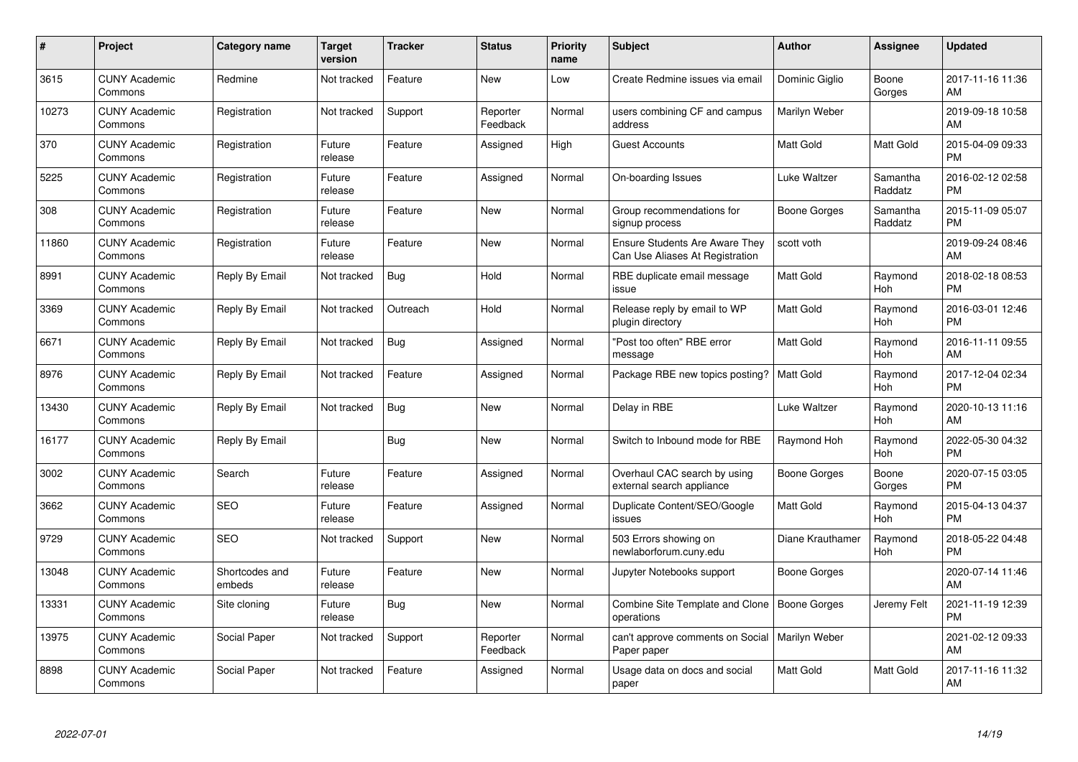| #     | Project                         | <b>Category name</b>     | <b>Target</b><br>version | <b>Tracker</b> | <b>Status</b>        | Priority<br>name | <b>Subject</b>                                                           | <b>Author</b>       | <b>Assignee</b>     | <b>Updated</b>                |
|-------|---------------------------------|--------------------------|--------------------------|----------------|----------------------|------------------|--------------------------------------------------------------------------|---------------------|---------------------|-------------------------------|
| 3615  | <b>CUNY Academic</b><br>Commons | Redmine                  | Not tracked              | Feature        | <b>New</b>           | Low              | Create Redmine issues via email                                          | Dominic Giglio      | Boone<br>Gorges     | 2017-11-16 11:36<br>AM        |
| 10273 | <b>CUNY Academic</b><br>Commons | Registration             | Not tracked              | Support        | Reporter<br>Feedback | Normal           | users combining CF and campus<br>address                                 | Marilyn Weber       |                     | 2019-09-18 10:58<br>AM        |
| 370   | <b>CUNY Academic</b><br>Commons | Registration             | Future<br>release        | Feature        | Assigned             | High             | Guest Accounts                                                           | Matt Gold           | Matt Gold           | 2015-04-09 09:33<br><b>PM</b> |
| 5225  | <b>CUNY Academic</b><br>Commons | Registration             | Future<br>release        | Feature        | Assigned             | Normal           | On-boarding Issues                                                       | Luke Waltzer        | Samantha<br>Raddatz | 2016-02-12 02:58<br><b>PM</b> |
| 308   | <b>CUNY Academic</b><br>Commons | Registration             | Future<br>release        | Feature        | <b>New</b>           | Normal           | Group recommendations for<br>signup process                              | <b>Boone Gorges</b> | Samantha<br>Raddatz | 2015-11-09 05:07<br><b>PM</b> |
| 11860 | <b>CUNY Academic</b><br>Commons | Registration             | Future<br>release        | Feature        | <b>New</b>           | Normal           | <b>Ensure Students Are Aware They</b><br>Can Use Aliases At Registration | scott voth          |                     | 2019-09-24 08:46<br>AM        |
| 8991  | <b>CUNY Academic</b><br>Commons | Reply By Email           | Not tracked              | Bug            | Hold                 | Normal           | RBE duplicate email message<br>issue                                     | Matt Gold           | Raymond<br>Hoh      | 2018-02-18 08:53<br><b>PM</b> |
| 3369  | <b>CUNY Academic</b><br>Commons | Reply By Email           | Not tracked              | Outreach       | Hold                 | Normal           | Release reply by email to WP<br>plugin directory                         | Matt Gold           | Raymond<br>Hoh      | 2016-03-01 12:46<br><b>PM</b> |
| 6671  | <b>CUNY Academic</b><br>Commons | Reply By Email           | Not tracked              | Bug            | Assigned             | Normal           | "Post too often" RBE error<br>message                                    | <b>Matt Gold</b>    | Raymond<br>Hoh      | 2016-11-11 09:55<br>AM        |
| 8976  | <b>CUNY Academic</b><br>Commons | Reply By Email           | Not tracked              | Feature        | Assigned             | Normal           | Package RBE new topics posting?                                          | <b>Matt Gold</b>    | Raymond<br>Hoh      | 2017-12-04 02:34<br><b>PM</b> |
| 13430 | <b>CUNY Academic</b><br>Commons | Reply By Email           | Not tracked              | <b>Bug</b>     | New                  | Normal           | Delay in RBE                                                             | Luke Waltzer        | Raymond<br>Hoh      | 2020-10-13 11:16<br>AM        |
| 16177 | <b>CUNY Academic</b><br>Commons | Reply By Email           |                          | Bug            | New                  | Normal           | Switch to Inbound mode for RBE                                           | Raymond Hoh         | Raymond<br>Hoh      | 2022-05-30 04:32<br><b>PM</b> |
| 3002  | <b>CUNY Academic</b><br>Commons | Search                   | Future<br>release        | Feature        | Assigned             | Normal           | Overhaul CAC search by using<br>external search appliance                | <b>Boone Gorges</b> | Boone<br>Gorges     | 2020-07-15 03:05<br><b>PM</b> |
| 3662  | <b>CUNY Academic</b><br>Commons | <b>SEO</b>               | Future<br>release        | Feature        | Assigned             | Normal           | Duplicate Content/SEO/Google<br>issues                                   | Matt Gold           | Raymond<br>Hoh      | 2015-04-13 04:37<br><b>PM</b> |
| 9729  | <b>CUNY Academic</b><br>Commons | <b>SEO</b>               | Not tracked              | Support        | New                  | Normal           | 503 Errors showing on<br>newlaborforum.cuny.edu                          | Diane Krauthamer    | Raymond<br>Hoh      | 2018-05-22 04:48<br><b>PM</b> |
| 13048 | <b>CUNY Academic</b><br>Commons | Shortcodes and<br>embeds | Future<br>release        | Feature        | New                  | Normal           | Jupyter Notebooks support                                                | Boone Gorges        |                     | 2020-07-14 11:46<br>AM        |
| 13331 | <b>CUNY Academic</b><br>Commons | Site cloning             | Future<br>release        | Bug            | New                  | Normal           | Combine Site Template and Clone   Boone Gorges<br>operations             |                     | Jeremy Felt         | 2021-11-19 12:39<br><b>PM</b> |
| 13975 | <b>CUNY Academic</b><br>Commons | Social Paper             | Not tracked              | Support        | Reporter<br>Feedback | Normal           | can't approve comments on Social<br>Paper paper                          | Marilyn Weber       |                     | 2021-02-12 09:33<br>AM        |
| 8898  | CUNY Academic<br>Commons        | Social Paper             | Not tracked              | Feature        | Assigned             | Normal           | Usage data on docs and social<br>paper                                   | <b>Matt Gold</b>    | Matt Gold           | 2017-11-16 11:32<br>AM        |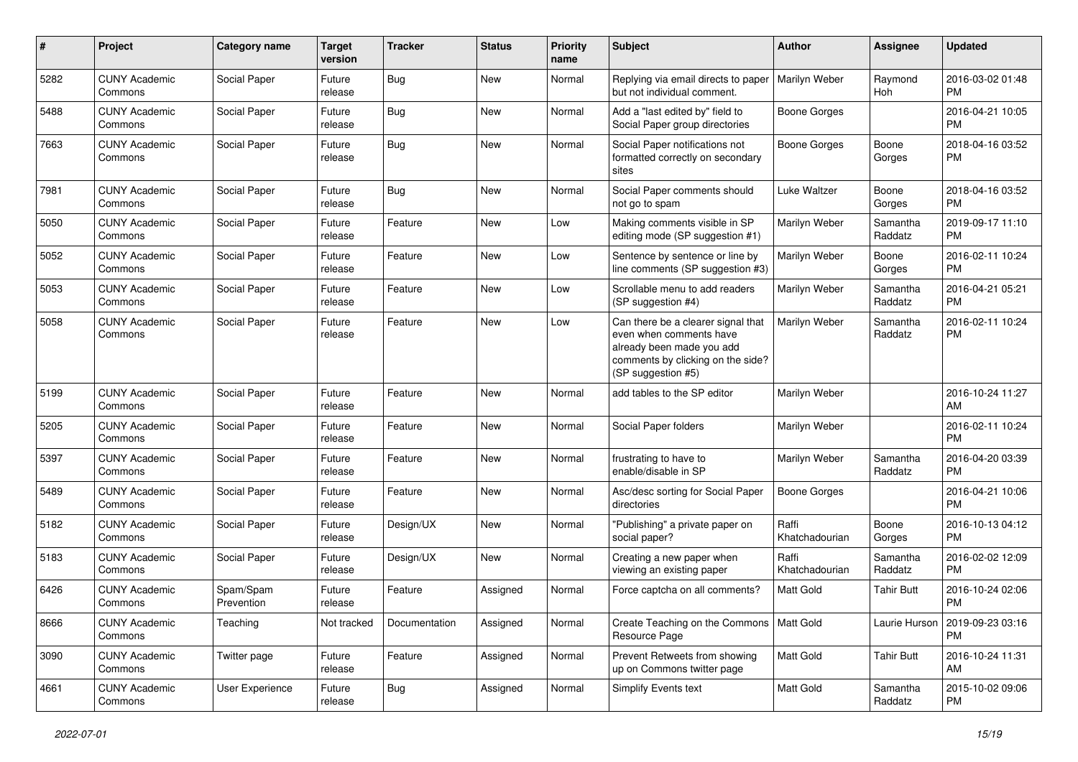| #    | Project                         | <b>Category name</b>    | <b>Target</b><br>version | <b>Tracker</b> | <b>Status</b> | Priority<br>name | <b>Subject</b>                                                                                                                                        | Author                  | <b>Assignee</b>     | <b>Updated</b>                |
|------|---------------------------------|-------------------------|--------------------------|----------------|---------------|------------------|-------------------------------------------------------------------------------------------------------------------------------------------------------|-------------------------|---------------------|-------------------------------|
| 5282 | <b>CUNY Academic</b><br>Commons | Social Paper            | Future<br>release        | <b>Bug</b>     | <b>New</b>    | Normal           | Replying via email directs to paper<br>but not individual comment.                                                                                    | Marilyn Weber           | Raymond<br>Hoh      | 2016-03-02 01:48<br><b>PM</b> |
| 5488 | <b>CUNY Academic</b><br>Commons | Social Paper            | Future<br>release        | <b>Bug</b>     | New           | Normal           | Add a "last edited by" field to<br>Social Paper group directories                                                                                     | <b>Boone Gorges</b>     |                     | 2016-04-21 10:05<br><b>PM</b> |
| 7663 | <b>CUNY Academic</b><br>Commons | Social Paper            | Future<br>release        | Bug            | <b>New</b>    | Normal           | Social Paper notifications not<br>formatted correctly on secondary<br>sites                                                                           | <b>Boone Gorges</b>     | Boone<br>Gorges     | 2018-04-16 03:52<br><b>PM</b> |
| 7981 | <b>CUNY Academic</b><br>Commons | Social Paper            | Future<br>release        | Bug            | <b>New</b>    | Normal           | Social Paper comments should<br>not go to spam                                                                                                        | Luke Waltzer            | Boone<br>Gorges     | 2018-04-16 03:52<br><b>PM</b> |
| 5050 | <b>CUNY Academic</b><br>Commons | Social Paper            | Future<br>release        | Feature        | <b>New</b>    | Low              | Making comments visible in SP<br>editing mode (SP suggestion #1)                                                                                      | Marilyn Weber           | Samantha<br>Raddatz | 2019-09-17 11:10<br><b>PM</b> |
| 5052 | <b>CUNY Academic</b><br>Commons | Social Paper            | Future<br>release        | Feature        | <b>New</b>    | Low              | Sentence by sentence or line by<br>line comments (SP suggestion #3)                                                                                   | Marilyn Weber           | Boone<br>Gorges     | 2016-02-11 10:24<br><b>PM</b> |
| 5053 | <b>CUNY Academic</b><br>Commons | Social Paper            | Future<br>release        | Feature        | New           | Low              | Scrollable menu to add readers<br>(SP suggestion #4)                                                                                                  | Marilyn Weber           | Samantha<br>Raddatz | 2016-04-21 05:21<br><b>PM</b> |
| 5058 | <b>CUNY Academic</b><br>Commons | Social Paper            | Future<br>release        | Feature        | <b>New</b>    | Low              | Can there be a clearer signal that<br>even when comments have<br>already been made you add<br>comments by clicking on the side?<br>(SP suggestion #5) | Marilyn Weber           | Samantha<br>Raddatz | 2016-02-11 10:24<br><b>PM</b> |
| 5199 | <b>CUNY Academic</b><br>Commons | Social Paper            | Future<br>release        | Feature        | <b>New</b>    | Normal           | add tables to the SP editor                                                                                                                           | Marilyn Weber           |                     | 2016-10-24 11:27<br>AM        |
| 5205 | <b>CUNY Academic</b><br>Commons | Social Paper            | Future<br>release        | Feature        | <b>New</b>    | Normal           | Social Paper folders                                                                                                                                  | Marilyn Weber           |                     | 2016-02-11 10:24<br><b>PM</b> |
| 5397 | <b>CUNY Academic</b><br>Commons | Social Paper            | Future<br>release        | Feature        | New           | Normal           | frustrating to have to<br>enable/disable in SP                                                                                                        | Marilyn Weber           | Samantha<br>Raddatz | 2016-04-20 03:39<br><b>PM</b> |
| 5489 | <b>CUNY Academic</b><br>Commons | Social Paper            | Future<br>release        | Feature        | New           | Normal           | Asc/desc sorting for Social Paper<br>directories                                                                                                      | <b>Boone Gorges</b>     |                     | 2016-04-21 10:06<br><b>PM</b> |
| 5182 | <b>CUNY Academic</b><br>Commons | Social Paper            | Future<br>release        | Design/UX      | <b>New</b>    | Normal           | "Publishing" a private paper on<br>social paper?                                                                                                      | Raffi<br>Khatchadourian | Boone<br>Gorges     | 2016-10-13 04:12<br><b>PM</b> |
| 5183 | <b>CUNY Academic</b><br>Commons | Social Paper            | Future<br>release        | Design/UX      | New           | Normal           | Creating a new paper when<br>viewing an existing paper                                                                                                | Raffi<br>Khatchadourian | Samantha<br>Raddatz | 2016-02-02 12:09<br><b>PM</b> |
| 6426 | <b>CUNY Academic</b><br>Commons | Spam/Spam<br>Prevention | Future<br>release        | Feature        | Assigned      | Normal           | Force captcha on all comments?                                                                                                                        | <b>Matt Gold</b>        | Tahir Butt          | 2016-10-24 02:06<br><b>PM</b> |
| 8666 | <b>CUNY Academic</b><br>Commons | Teaching                | Not tracked              | Documentation  | Assigned      | Normal           | Create Teaching on the Commons   Matt Gold<br>Resource Page                                                                                           |                         | Laurie Hurson       | 2019-09-23 03:16<br><b>PM</b> |
| 3090 | <b>CUNY Academic</b><br>Commons | Twitter page            | Future<br>release        | Feature        | Assigned      | Normal           | Prevent Retweets from showing<br>up on Commons twitter page                                                                                           | Matt Gold               | <b>Tahir Butt</b>   | 2016-10-24 11:31<br>AM        |
| 4661 | <b>CUNY Academic</b><br>Commons | User Experience         | Future<br>release        | <b>Bug</b>     | Assigned      | Normal           | Simplify Events text                                                                                                                                  | Matt Gold               | Samantha<br>Raddatz | 2015-10-02 09:06<br><b>PM</b> |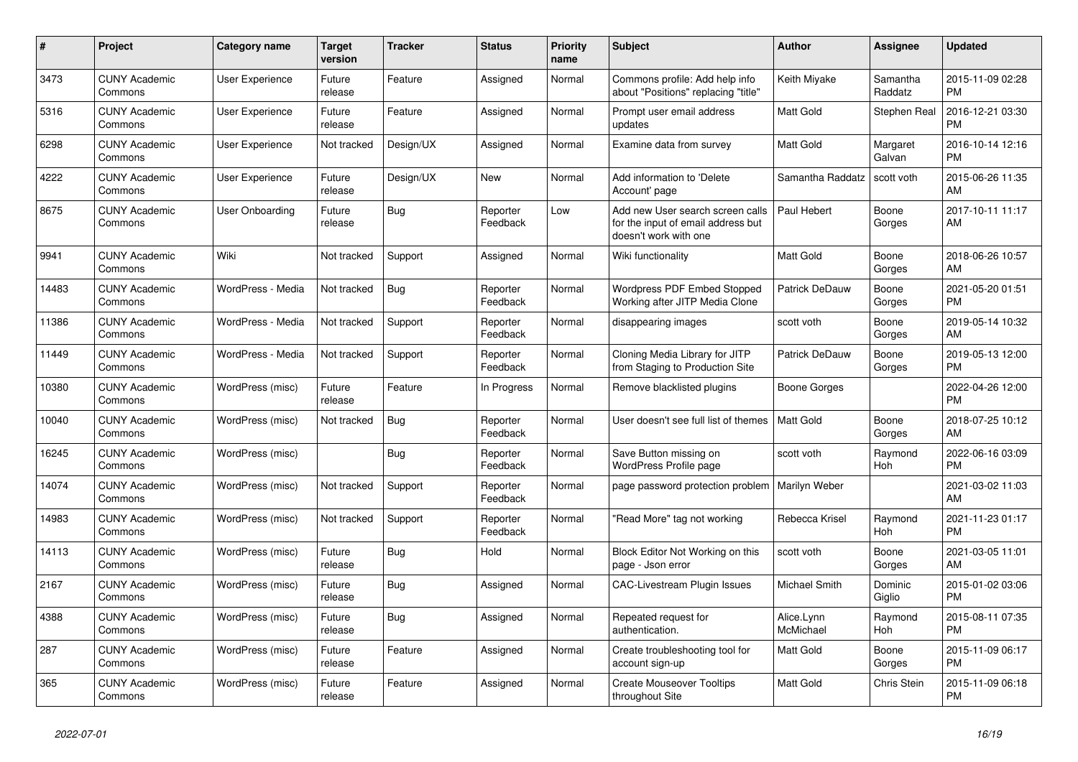| #     | <b>Project</b>                  | Category name          | <b>Target</b><br>version | <b>Tracker</b> | <b>Status</b>        | <b>Priority</b><br>name | <b>Subject</b>                                                                                  | <b>Author</b>           | Assignee            | <b>Updated</b>                |
|-------|---------------------------------|------------------------|--------------------------|----------------|----------------------|-------------------------|-------------------------------------------------------------------------------------------------|-------------------------|---------------------|-------------------------------|
| 3473  | <b>CUNY Academic</b><br>Commons | <b>User Experience</b> | Future<br>release        | Feature        | Assigned             | Normal                  | Commons profile: Add help info<br>about "Positions" replacing "title"                           | Keith Miyake            | Samantha<br>Raddatz | 2015-11-09 02:28<br><b>PM</b> |
| 5316  | <b>CUNY Academic</b><br>Commons | <b>User Experience</b> | Future<br>release        | Feature        | Assigned             | Normal                  | Prompt user email address<br>updates                                                            | Matt Gold               | Stephen Real        | 2016-12-21 03:30<br><b>PM</b> |
| 6298  | <b>CUNY Academic</b><br>Commons | User Experience        | Not tracked              | Design/UX      | Assigned             | Normal                  | Examine data from survey                                                                        | Matt Gold               | Margaret<br>Galvan  | 2016-10-14 12:16<br><b>PM</b> |
| 4222  | <b>CUNY Academic</b><br>Commons | <b>User Experience</b> | Future<br>release        | Design/UX      | <b>New</b>           | Normal                  | Add information to 'Delete<br>Account' page                                                     | Samantha Raddatz        | scott voth          | 2015-06-26 11:35<br>AM        |
| 8675  | <b>CUNY Academic</b><br>Commons | <b>User Onboarding</b> | Future<br>release        | Bug            | Reporter<br>Feedback | Low                     | Add new User search screen calls<br>for the input of email address but<br>doesn't work with one | Paul Hebert             | Boone<br>Gorges     | 2017-10-11 11:17<br>AM        |
| 9941  | <b>CUNY Academic</b><br>Commons | Wiki                   | Not tracked              | Support        | Assigned             | Normal                  | Wiki functionality                                                                              | <b>Matt Gold</b>        | Boone<br>Gorges     | 2018-06-26 10:57<br>AM        |
| 14483 | <b>CUNY Academic</b><br>Commons | WordPress - Media      | Not tracked              | Bug            | Reporter<br>Feedback | Normal                  | Wordpress PDF Embed Stopped<br>Working after JITP Media Clone                                   | Patrick DeDauw          | Boone<br>Gorges     | 2021-05-20 01:51<br><b>PM</b> |
| 11386 | <b>CUNY Academic</b><br>Commons | WordPress - Media      | Not tracked              | Support        | Reporter<br>Feedback | Normal                  | disappearing images                                                                             | scott voth              | Boone<br>Gorges     | 2019-05-14 10:32<br>AM        |
| 11449 | <b>CUNY Academic</b><br>Commons | WordPress - Media      | Not tracked              | Support        | Reporter<br>Feedback | Normal                  | Cloning Media Library for JITP<br>from Staging to Production Site                               | Patrick DeDauw          | Boone<br>Gorges     | 2019-05-13 12:00<br><b>PM</b> |
| 10380 | <b>CUNY Academic</b><br>Commons | WordPress (misc)       | Future<br>release        | Feature        | In Progress          | Normal                  | Remove blacklisted plugins                                                                      | Boone Gorges            |                     | 2022-04-26 12:00<br><b>PM</b> |
| 10040 | <b>CUNY Academic</b><br>Commons | WordPress (misc)       | Not tracked              | <b>Bug</b>     | Reporter<br>Feedback | Normal                  | User doesn't see full list of themes                                                            | Matt Gold               | Boone<br>Gorges     | 2018-07-25 10:12<br>AM        |
| 16245 | <b>CUNY Academic</b><br>Commons | WordPress (misc)       |                          | Bug            | Reporter<br>Feedback | Normal                  | Save Button missing on<br>WordPress Profile page                                                | scott voth              | Raymond<br>Hoh      | 2022-06-16 03:09<br><b>PM</b> |
| 14074 | <b>CUNY Academic</b><br>Commons | WordPress (misc)       | Not tracked              | Support        | Reporter<br>Feedback | Normal                  | page password protection problem                                                                | Marilyn Weber           |                     | 2021-03-02 11:03<br>AM        |
| 14983 | <b>CUNY Academic</b><br>Commons | WordPress (misc)       | Not tracked              | Support        | Reporter<br>Feedback | Normal                  | "Read More" tag not working                                                                     | Rebecca Krisel          | Raymond<br>Hoh      | 2021-11-23 01:17<br><b>PM</b> |
| 14113 | <b>CUNY Academic</b><br>Commons | WordPress (misc)       | Future<br>release        | Bug            | Hold                 | Normal                  | Block Editor Not Working on this<br>page - Json error                                           | scott voth              | Boone<br>Gorges     | 2021-03-05 11:01<br>AM        |
| 2167  | <b>CUNY Academic</b><br>Commons | WordPress (misc)       | Future<br>release        | Bug            | Assigned             | Normal                  | <b>CAC-Livestream Plugin Issues</b>                                                             | <b>Michael Smith</b>    | Dominic<br>Giglio   | 2015-01-02 03:06<br><b>PM</b> |
| 4388  | <b>CUNY Academic</b><br>Commons | WordPress (misc)       | Future<br>release        | Bug            | Assigned             | Normal                  | Repeated request for<br>authentication.                                                         | Alice.Lynn<br>McMichael | Raymond<br>Hoh      | 2015-08-11 07:35<br><b>PM</b> |
| 287   | <b>CUNY Academic</b><br>Commons | WordPress (misc)       | Future<br>release        | Feature        | Assigned             | Normal                  | Create troubleshooting tool for<br>account sign-up                                              | <b>Matt Gold</b>        | Boone<br>Gorges     | 2015-11-09 06:17<br><b>PM</b> |
| 365   | <b>CUNY Academic</b><br>Commons | WordPress (misc)       | Future<br>release        | Feature        | Assigned             | Normal                  | <b>Create Mouseover Tooltips</b><br>throughout Site                                             | <b>Matt Gold</b>        | Chris Stein         | 2015-11-09 06:18<br><b>PM</b> |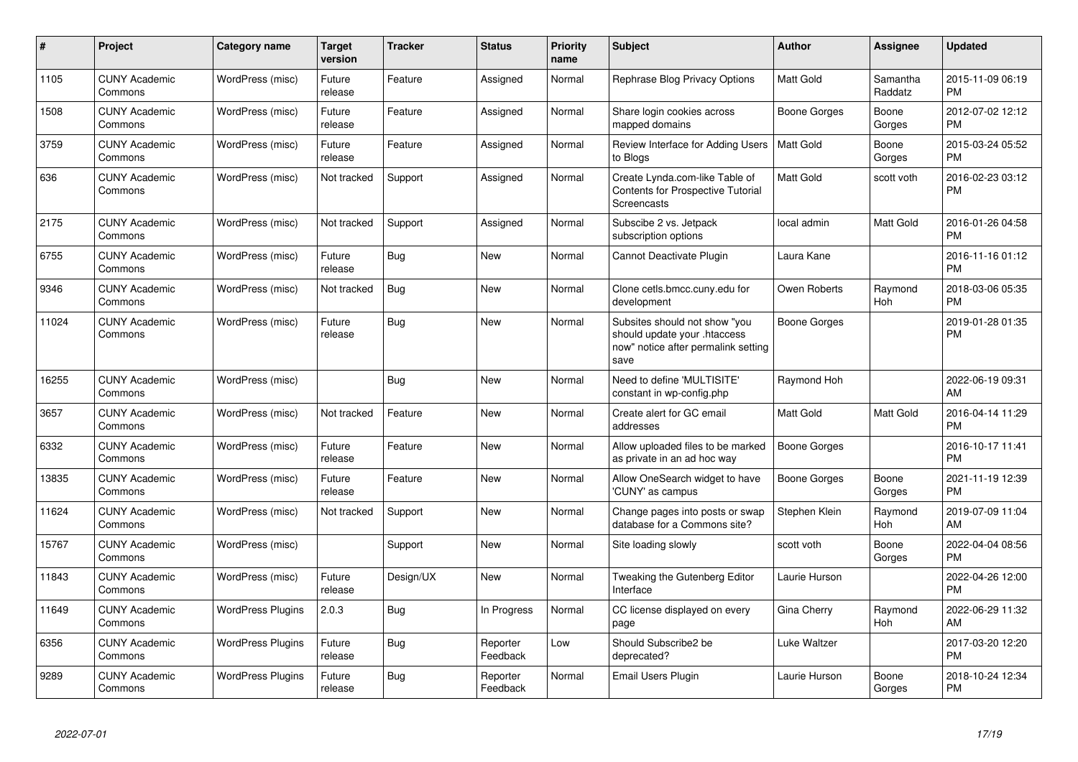| #     | <b>Project</b>                  | Category name            | <b>Target</b><br>version | <b>Tracker</b> | <b>Status</b>        | <b>Priority</b><br>name | <b>Subject</b>                                                                                               | <b>Author</b>    | Assignee            | <b>Updated</b>                |
|-------|---------------------------------|--------------------------|--------------------------|----------------|----------------------|-------------------------|--------------------------------------------------------------------------------------------------------------|------------------|---------------------|-------------------------------|
| 1105  | <b>CUNY Academic</b><br>Commons | WordPress (misc)         | Future<br>release        | Feature        | Assigned             | Normal                  | Rephrase Blog Privacy Options                                                                                | <b>Matt Gold</b> | Samantha<br>Raddatz | 2015-11-09 06:19<br><b>PM</b> |
| 1508  | <b>CUNY Academic</b><br>Commons | WordPress (misc)         | Future<br>release        | Feature        | Assigned             | Normal                  | Share login cookies across<br>mapped domains                                                                 | Boone Gorges     | Boone<br>Gorges     | 2012-07-02 12:12<br><b>PM</b> |
| 3759  | <b>CUNY Academic</b><br>Commons | WordPress (misc)         | Future<br>release        | Feature        | Assigned             | Normal                  | Review Interface for Adding Users<br>to Blogs                                                                | <b>Matt Gold</b> | Boone<br>Gorges     | 2015-03-24 05:52<br><b>PM</b> |
| 636   | <b>CUNY Academic</b><br>Commons | WordPress (misc)         | Not tracked              | Support        | Assigned             | Normal                  | Create Lynda.com-like Table of<br><b>Contents for Prospective Tutorial</b><br>Screencasts                    | <b>Matt Gold</b> | scott voth          | 2016-02-23 03:12<br><b>PM</b> |
| 2175  | <b>CUNY Academic</b><br>Commons | WordPress (misc)         | Not tracked              | Support        | Assigned             | Normal                  | Subscibe 2 vs. Jetpack<br>subscription options                                                               | local admin      | Matt Gold           | 2016-01-26 04:58<br><b>PM</b> |
| 6755  | <b>CUNY Academic</b><br>Commons | WordPress (misc)         | Future<br>release        | Bug            | <b>New</b>           | Normal                  | Cannot Deactivate Plugin                                                                                     | Laura Kane       |                     | 2016-11-16 01:12<br><b>PM</b> |
| 9346  | <b>CUNY Academic</b><br>Commons | WordPress (misc)         | Not tracked              | Bug            | <b>New</b>           | Normal                  | Clone cetls.bmcc.cuny.edu for<br>development                                                                 | Owen Roberts     | Raymond<br>Hoh      | 2018-03-06 05:35<br><b>PM</b> |
| 11024 | <b>CUNY Academic</b><br>Commons | WordPress (misc)         | Future<br>release        | <b>Bug</b>     | New                  | Normal                  | Subsites should not show "you<br>should update your .htaccess<br>now" notice after permalink setting<br>save | Boone Gorges     |                     | 2019-01-28 01:35<br><b>PM</b> |
| 16255 | <b>CUNY Academic</b><br>Commons | WordPress (misc)         |                          | <b>Bug</b>     | <b>New</b>           | Normal                  | Need to define 'MULTISITE'<br>constant in wp-config.php                                                      | Raymond Hoh      |                     | 2022-06-19 09:31<br>AM        |
| 3657  | <b>CUNY Academic</b><br>Commons | WordPress (misc)         | Not tracked              | Feature        | <b>New</b>           | Normal                  | Create alert for GC email<br>addresses                                                                       | <b>Matt Gold</b> | Matt Gold           | 2016-04-14 11:29<br><b>PM</b> |
| 6332  | <b>CUNY Academic</b><br>Commons | WordPress (misc)         | Future<br>release        | Feature        | <b>New</b>           | Normal                  | Allow uploaded files to be marked<br>as private in an ad hoc way                                             | Boone Gorges     |                     | 2016-10-17 11:41<br><b>PM</b> |
| 13835 | <b>CUNY Academic</b><br>Commons | WordPress (misc)         | Future<br>release        | Feature        | New                  | Normal                  | Allow OneSearch widget to have<br>'CUNY' as campus                                                           | Boone Gorges     | Boone<br>Gorges     | 2021-11-19 12:39<br><b>PM</b> |
| 11624 | <b>CUNY Academic</b><br>Commons | WordPress (misc)         | Not tracked              | Support        | New                  | Normal                  | Change pages into posts or swap<br>database for a Commons site?                                              | Stephen Klein    | Raymond<br>Hoh      | 2019-07-09 11:04<br>AM        |
| 15767 | <b>CUNY Academic</b><br>Commons | WordPress (misc)         |                          | Support        | <b>New</b>           | Normal                  | Site loading slowly                                                                                          | scott voth       | Boone<br>Gorges     | 2022-04-04 08:56<br><b>PM</b> |
| 11843 | <b>CUNY Academic</b><br>Commons | WordPress (misc)         | Future<br>release        | Design/UX      | <b>New</b>           | Normal                  | Tweaking the Gutenberg Editor<br>Interface                                                                   | Laurie Hurson    |                     | 2022-04-26 12:00<br><b>PM</b> |
| 11649 | <b>CUNY Academic</b><br>Commons | <b>WordPress Plugins</b> | 2.0.3                    | Bug            | In Progress          | Normal                  | CC license displayed on every<br>page                                                                        | Gina Cherry      | Raymond<br>Hoh      | 2022-06-29 11:32<br>AM        |
| 6356  | <b>CUNY Academic</b><br>Commons | <b>WordPress Plugins</b> | Future<br>release        | Bug            | Reporter<br>Feedback | Low                     | Should Subscribe2 be<br>deprecated?                                                                          | Luke Waltzer     |                     | 2017-03-20 12:20<br><b>PM</b> |
| 9289  | <b>CUNY Academic</b><br>Commons | <b>WordPress Plugins</b> | Future<br>release        | Bug            | Reporter<br>Feedback | Normal                  | Email Users Plugin                                                                                           | Laurie Hurson    | Boone<br>Gorges     | 2018-10-24 12:34<br><b>PM</b> |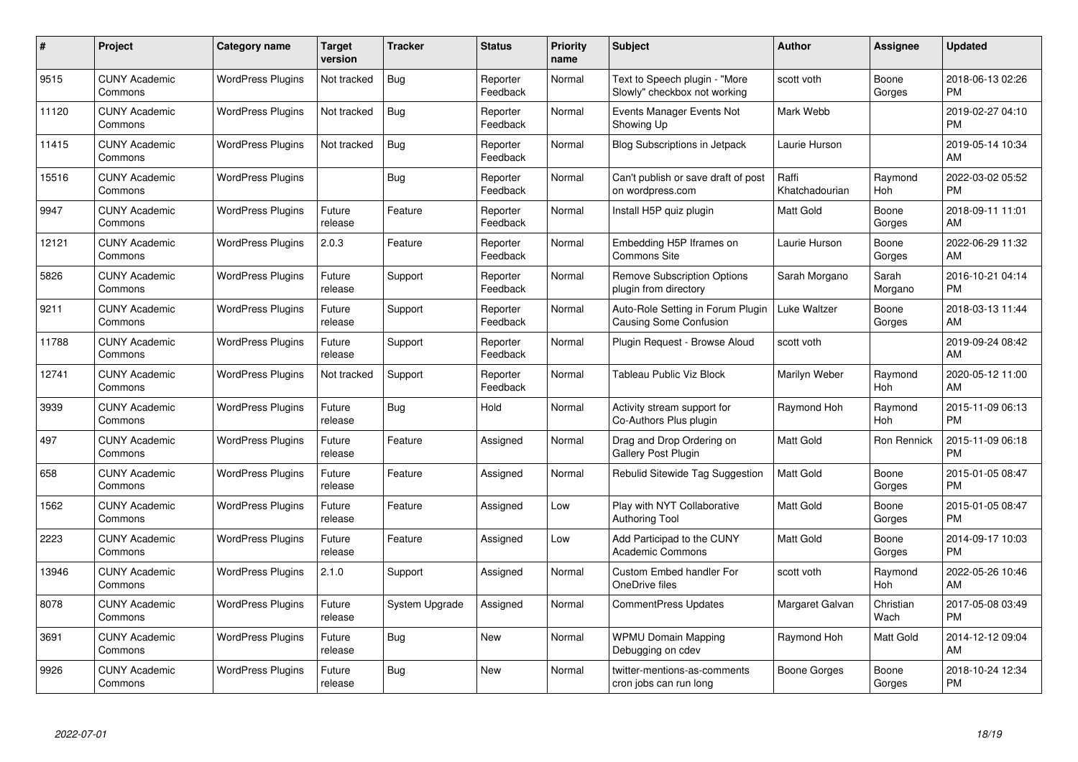| #     | Project                         | <b>Category name</b>     | <b>Target</b><br>version | <b>Tracker</b> | <b>Status</b>        | Priority<br>name | <b>Subject</b>                                                     | <b>Author</b>           | <b>Assignee</b>   | <b>Updated</b>                |
|-------|---------------------------------|--------------------------|--------------------------|----------------|----------------------|------------------|--------------------------------------------------------------------|-------------------------|-------------------|-------------------------------|
| 9515  | <b>CUNY Academic</b><br>Commons | <b>WordPress Plugins</b> | Not tracked              | Bug            | Reporter<br>Feedback | Normal           | Text to Speech plugin - "More<br>Slowly" checkbox not working      | scott voth              | Boone<br>Gorges   | 2018-06-13 02:26<br><b>PM</b> |
| 11120 | <b>CUNY Academic</b><br>Commons | <b>WordPress Plugins</b> | Not tracked              | Bug            | Reporter<br>Feedback | Normal           | Events Manager Events Not<br>Showing Up                            | Mark Webb               |                   | 2019-02-27 04:10<br><b>PM</b> |
| 11415 | <b>CUNY Academic</b><br>Commons | <b>WordPress Plugins</b> | Not tracked              | Bug            | Reporter<br>Feedback | Normal           | Blog Subscriptions in Jetpack                                      | Laurie Hurson           |                   | 2019-05-14 10:34<br>AM        |
| 15516 | <b>CUNY Academic</b><br>Commons | <b>WordPress Plugins</b> |                          | Bug            | Reporter<br>Feedback | Normal           | Can't publish or save draft of post<br>on wordpress.com            | Raffi<br>Khatchadourian | Raymond<br>Hoh    | 2022-03-02 05:52<br><b>PM</b> |
| 9947  | <b>CUNY Academic</b><br>Commons | <b>WordPress Plugins</b> | Future<br>release        | Feature        | Reporter<br>Feedback | Normal           | Install H5P quiz plugin                                            | <b>Matt Gold</b>        | Boone<br>Gorges   | 2018-09-11 11:01<br>AM        |
| 12121 | <b>CUNY Academic</b><br>Commons | <b>WordPress Plugins</b> | 2.0.3                    | Feature        | Reporter<br>Feedback | Normal           | Embedding H5P Iframes on<br><b>Commons Site</b>                    | Laurie Hurson           | Boone<br>Gorges   | 2022-06-29 11:32<br>AM        |
| 5826  | <b>CUNY Academic</b><br>Commons | <b>WordPress Plugins</b> | Future<br>release        | Support        | Reporter<br>Feedback | Normal           | <b>Remove Subscription Options</b><br>plugin from directory        | Sarah Morgano           | Sarah<br>Morgano  | 2016-10-21 04:14<br><b>PM</b> |
| 9211  | <b>CUNY Academic</b><br>Commons | <b>WordPress Plugins</b> | Future<br>release        | Support        | Reporter<br>Feedback | Normal           | Auto-Role Setting in Forum Plugin<br><b>Causing Some Confusion</b> | Luke Waltzer            | Boone<br>Gorges   | 2018-03-13 11:44<br>AM        |
| 11788 | <b>CUNY Academic</b><br>Commons | <b>WordPress Plugins</b> | Future<br>release        | Support        | Reporter<br>Feedback | Normal           | Plugin Request - Browse Aloud                                      | scott voth              |                   | 2019-09-24 08:42<br>AM        |
| 12741 | <b>CUNY Academic</b><br>Commons | <b>WordPress Plugins</b> | Not tracked              | Support        | Reporter<br>Feedback | Normal           | <b>Tableau Public Viz Block</b>                                    | Marilyn Weber           | Raymond<br>Hoh    | 2020-05-12 11:00<br>AM        |
| 3939  | <b>CUNY Academic</b><br>Commons | <b>WordPress Plugins</b> | Future<br>release        | Bug            | Hold                 | Normal           | Activity stream support for<br>Co-Authors Plus plugin              | Raymond Hoh             | Raymond<br>Hoh    | 2015-11-09 06:13<br><b>PM</b> |
| 497   | <b>CUNY Academic</b><br>Commons | <b>WordPress Plugins</b> | Future<br>release        | Feature        | Assigned             | Normal           | Drag and Drop Ordering on<br>Gallery Post Plugin                   | Matt Gold               | Ron Rennick       | 2015-11-09 06:18<br><b>PM</b> |
| 658   | <b>CUNY Academic</b><br>Commons | <b>WordPress Plugins</b> | Future<br>release        | Feature        | Assigned             | Normal           | Rebulid Sitewide Tag Suggestion                                    | <b>Matt Gold</b>        | Boone<br>Gorges   | 2015-01-05 08:47<br><b>PM</b> |
| 1562  | <b>CUNY Academic</b><br>Commons | <b>WordPress Plugins</b> | Future<br>release        | Feature        | Assigned             | Low              | Play with NYT Collaborative<br>Authoring Tool                      | <b>Matt Gold</b>        | Boone<br>Gorges   | 2015-01-05 08:47<br><b>PM</b> |
| 2223  | <b>CUNY Academic</b><br>Commons | <b>WordPress Plugins</b> | Future<br>release        | Feature        | Assigned             | Low              | Add Participad to the CUNY<br><b>Academic Commons</b>              | Matt Gold               | Boone<br>Gorges   | 2014-09-17 10:03<br><b>PM</b> |
| 13946 | <b>CUNY Academic</b><br>Commons | <b>WordPress Plugins</b> | 2.1.0                    | Support        | Assigned             | Normal           | <b>Custom Embed handler For</b><br>OneDrive files                  | scott voth              | Raymond<br>Hoh    | 2022-05-26 10:46<br>AM        |
| 8078  | <b>CUNY Academic</b><br>Commons | <b>WordPress Plugins</b> | Future<br>release        | System Upgrade | Assigned             | Normal           | <b>CommentPress Updates</b>                                        | Margaret Galvan         | Christian<br>Wach | 2017-05-08 03:49<br><b>PM</b> |
| 3691  | <b>CUNY Academic</b><br>Commons | <b>WordPress Plugins</b> | Future<br>release        | Bug            | New                  | Normal           | <b>WPMU Domain Mapping</b><br>Debugging on cdev                    | Raymond Hoh             | Matt Gold         | 2014-12-12 09:04<br>AM        |
| 9926  | CUNY Academic<br>Commons        | <b>WordPress Plugins</b> | Future<br>release        | Bug            | <b>New</b>           | Normal           | twitter-mentions-as-comments<br>cron jobs can run long             | Boone Gorges            | Boone<br>Gorges   | 2018-10-24 12:34<br><b>PM</b> |